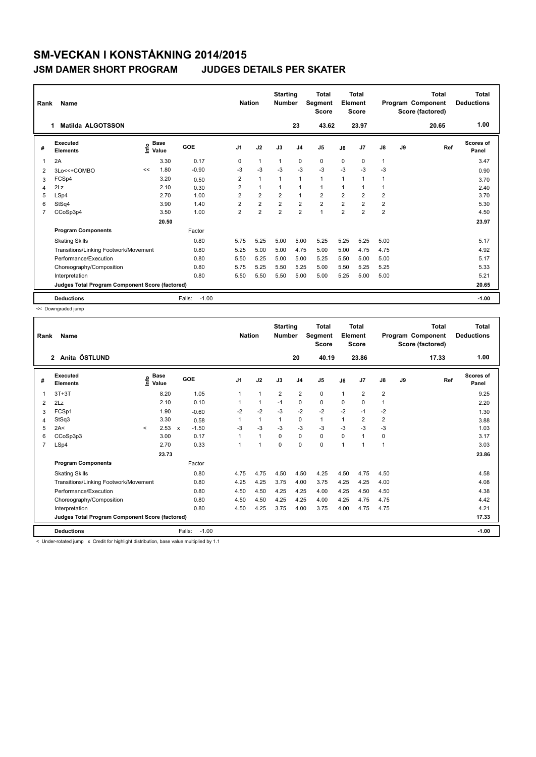### **JSM DAMER SHORT PROGRAM JUDGES DETAILS PER SKATER**

| Rank | Name                                            |    |                                  |                   | <b>Nation</b>  |                | <b>Starting</b><br><b>Number</b> |                | <b>Total</b><br>Segment<br><b>Score</b> |                | <b>Total</b><br>Element<br><b>Score</b> |                |    | <b>Total</b><br>Program Component<br>Score (factored) | Total<br><b>Deductions</b> |
|------|-------------------------------------------------|----|----------------------------------|-------------------|----------------|----------------|----------------------------------|----------------|-----------------------------------------|----------------|-----------------------------------------|----------------|----|-------------------------------------------------------|----------------------------|
|      | Matilda ALGOTSSON<br>1                          |    |                                  |                   |                |                |                                  | 23             | 43.62                                   |                | 23.97                                   |                |    | 20.65                                                 | 1.00                       |
| #    | Executed<br><b>Elements</b>                     |    | <b>Base</b><br>e Base<br>⊆ Value | GOE               | J1             | J2             | J3                               | J <sub>4</sub> | J5                                      | J6             | J7                                      | J8             | J9 | Ref                                                   | Scores of<br>Panel         |
|      | 2A                                              |    | 3.30                             | 0.17              | 0              | $\mathbf{1}$   | $\mathbf{1}$                     | 0              | 0                                       | 0              | 0                                       | 1              |    |                                                       | 3.47                       |
| 2    | 3Lo<<+COMBO                                     | << | 1.80                             | $-0.90$           | $-3$           | $-3$           | $-3$                             | $-3$           | $-3$                                    | $-3$           | $-3$                                    | $-3$           |    |                                                       | 0.90                       |
| 3    | FCSp4                                           |    | 3.20                             | 0.50              | $\overline{2}$ | $\mathbf{1}$   | 1                                | $\mathbf{1}$   | 1                                       | 1              | $\overline{1}$                          |                |    |                                                       | 3.70                       |
| 4    | 2Lz                                             |    | 2.10                             | 0.30              | 2              | $\mathbf{1}$   | $\mathbf 1$                      | 1              | 1                                       | 1              | $\mathbf 1$                             |                |    |                                                       | 2.40                       |
| 5    | LSp4                                            |    | 2.70                             | 1.00              | $\overline{2}$ | $\overline{2}$ | $\overline{2}$                   | $\mathbf{1}$   | $\overline{2}$                          | $\overline{2}$ | $\overline{2}$                          | 2              |    |                                                       | 3.70                       |
| 6    | StSq4                                           |    | 3.90                             | 1.40              | $\overline{2}$ | $\overline{2}$ | $\overline{2}$                   | $\overline{2}$ | $\overline{2}$                          | $\overline{2}$ | $\overline{2}$                          | 2              |    |                                                       | 5.30                       |
|      | CCoSp3p4                                        |    | 3.50                             | 1.00              | $\overline{2}$ | $\overline{2}$ | $\overline{2}$                   | $\overline{2}$ | $\mathbf 1$                             | $\overline{2}$ | $\overline{2}$                          | $\overline{2}$ |    |                                                       | 4.50                       |
|      |                                                 |    | 20.50                            |                   |                |                |                                  |                |                                         |                |                                         |                |    |                                                       | 23.97                      |
|      | <b>Program Components</b>                       |    |                                  | Factor            |                |                |                                  |                |                                         |                |                                         |                |    |                                                       |                            |
|      | <b>Skating Skills</b>                           |    |                                  | 0.80              | 5.75           | 5.25           | 5.00                             | 5.00           | 5.25                                    | 5.25           | 5.25                                    | 5.00           |    |                                                       | 5.17                       |
|      | Transitions/Linking Footwork/Movement           |    |                                  | 0.80              | 5.25           | 5.00           | 5.00                             | 4.75           | 5.00                                    | 5.00           | 4.75                                    | 4.75           |    |                                                       | 4.92                       |
|      | Performance/Execution                           |    |                                  | 0.80              | 5.50           | 5.25           | 5.00                             | 5.00           | 5.25                                    | 5.50           | 5.00                                    | 5.00           |    |                                                       | 5.17                       |
|      | Choreography/Composition                        |    |                                  | 0.80              | 5.75           | 5.25           | 5.50                             | 5.25           | 5.00                                    | 5.50           | 5.25                                    | 5.25           |    |                                                       | 5.33                       |
|      | Interpretation                                  |    |                                  | 0.80              | 5.50           | 5.50           | 5.50                             | 5.00           | 5.00                                    | 5.25           | 5.00                                    | 5.00           |    |                                                       | 5.21                       |
|      | Judges Total Program Component Score (factored) |    |                                  |                   |                |                |                                  |                |                                         |                |                                         |                |    |                                                       | 20.65                      |
|      | <b>Deductions</b>                               |    |                                  | $-1.00$<br>Falls: |                |                |                                  |                |                                         |                |                                         |                |    |                                                       | $-1.00$                    |

<< Downgraded jump

| Rank           | Name                                            |         |                      |              |                   | <b>Nation</b>  |              | <b>Starting</b><br><b>Number</b> |                         | <b>Total</b><br>Segment<br><b>Score</b> |          | <b>Total</b><br>Element<br><b>Score</b> |                         |    | <b>Total</b><br>Program Component<br>Score (factored) | <b>Total</b><br><b>Deductions</b> |
|----------------|-------------------------------------------------|---------|----------------------|--------------|-------------------|----------------|--------------|----------------------------------|-------------------------|-----------------------------------------|----------|-----------------------------------------|-------------------------|----|-------------------------------------------------------|-----------------------------------|
|                | Anita ÖSTLUND<br>$\mathbf{2}$                   |         |                      |              |                   |                |              |                                  | 20                      | 40.19                                   |          | 23.86                                   |                         |    | 17.33                                                 | 1.00                              |
| #              | Executed<br><b>Elements</b>                     | ١nfo    | <b>Base</b><br>Value |              | <b>GOE</b>        | J <sub>1</sub> | J2           | J3                               | J <sub>4</sub>          | J5                                      | J6       | J7                                      | $\mathsf{J}8$           | J9 | Ref                                                   | <b>Scores of</b><br>Panel         |
| 1              | $3T+3T$                                         |         | 8.20                 |              | 1.05              | 1              | 1            | $\overline{2}$                   | $\overline{\mathbf{c}}$ | 0                                       | 1        | $\overline{2}$                          | $\overline{\mathbf{c}}$ |    |                                                       | 9.25                              |
| 2              | 2Lz                                             |         | 2.10                 |              | 0.10              |                | 1            | $-1$                             | 0                       | 0                                       | $\Omega$ | $\Omega$                                | 1                       |    |                                                       | 2.20                              |
| 3              | FCSp1                                           |         | 1.90                 |              | $-0.60$           | $-2$           | $-2$         | $-3$                             | $-2$                    | $-2$                                    | $-2$     | $-1$                                    | $-2$                    |    |                                                       | 1.30                              |
| 4              | StSq3                                           |         | 3.30                 |              | 0.58              | 1              | 1            | 1                                | 0                       | $\mathbf{1}$                            | 1        | $\overline{2}$                          | $\overline{\mathbf{c}}$ |    |                                                       | 3.88                              |
| 5              | 2A<                                             | $\prec$ | 2.53                 | $\mathbf{x}$ | $-1.50$           | $-3$           | $-3$         | $-3$                             | $-3$                    | $-3$                                    | $-3$     | $-3$                                    | $-3$                    |    |                                                       | 1.03                              |
| 6              | CCoSp3p3                                        |         | 3.00                 |              | 0.17              | 1              | $\mathbf{1}$ | $\mathbf 0$                      | 0                       | 0                                       | 0        | 1                                       | 0                       |    |                                                       | 3.17                              |
| $\overline{7}$ | LSp4                                            |         | 2.70                 |              | 0.33              | 1              | 1            | $\Omega$                         | $\Omega$                | 0                                       | 1        | 1                                       | 1                       |    |                                                       | 3.03                              |
|                |                                                 |         | 23.73                |              |                   |                |              |                                  |                         |                                         |          |                                         |                         |    |                                                       | 23.86                             |
|                | <b>Program Components</b>                       |         |                      |              | Factor            |                |              |                                  |                         |                                         |          |                                         |                         |    |                                                       |                                   |
|                | <b>Skating Skills</b>                           |         |                      |              | 0.80              | 4.75           | 4.75         | 4.50                             | 4.50                    | 4.25                                    | 4.50     | 4.75                                    | 4.50                    |    |                                                       | 4.58                              |
|                | Transitions/Linking Footwork/Movement           |         |                      |              | 0.80              | 4.25           | 4.25         | 3.75                             | 4.00                    | 3.75                                    | 4.25     | 4.25                                    | 4.00                    |    |                                                       | 4.08                              |
|                | Performance/Execution                           |         |                      |              | 0.80              | 4.50           | 4.50         | 4.25                             | 4.25                    | 4.00                                    | 4.25     | 4.50                                    | 4.50                    |    |                                                       | 4.38                              |
|                | Choreography/Composition                        |         |                      |              | 0.80              | 4.50           | 4.50         | 4.25                             | 4.25                    | 4.00                                    | 4.25     | 4.75                                    | 4.75                    |    |                                                       | 4.42                              |
|                | Interpretation                                  |         |                      |              | 0.80              | 4.50           | 4.25         | 3.75                             | 4.00                    | 3.75                                    | 4.00     | 4.75                                    | 4.75                    |    |                                                       | 4.21                              |
|                | Judges Total Program Component Score (factored) |         |                      |              |                   |                |              |                                  |                         |                                         |          |                                         |                         |    |                                                       | 17.33                             |
|                | <b>Deductions</b>                               |         |                      |              | Falls:<br>$-1.00$ |                |              |                                  |                         |                                         |          |                                         |                         |    |                                                       | $-1.00$                           |

< Under-rotated jump x Credit for highlight distribution, base value multiplied by 1.1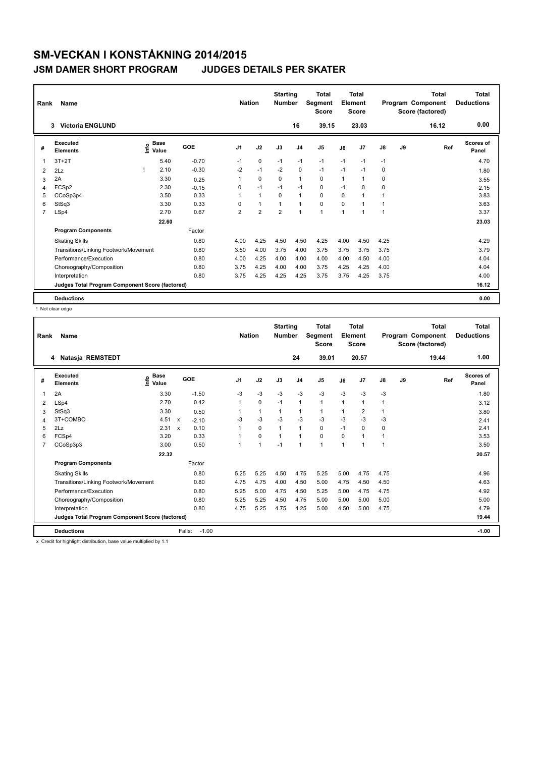### **JSM DAMER SHORT PROGRAM JUDGES DETAILS PER SKATER**

| Rank           | Name                                            |                           |         | <b>Nation</b>  |                | <b>Starting</b><br><b>Number</b> |                | <b>Total</b><br>Segment<br><b>Score</b> |      | <b>Total</b><br>Element<br><b>Score</b> |      |    | <b>Total</b><br>Program Component<br>Score (factored) | <b>Total</b><br><b>Deductions</b> |
|----------------|-------------------------------------------------|---------------------------|---------|----------------|----------------|----------------------------------|----------------|-----------------------------------------|------|-----------------------------------------|------|----|-------------------------------------------------------|-----------------------------------|
|                | <b>Victoria ENGLUND</b><br>3                    |                           |         |                |                |                                  | 16             | 39.15                                   |      | 23.03                                   |      |    | 16.12                                                 | 0.00                              |
| #              | Executed<br><b>Elements</b>                     | Base<br>e Base<br>⊆ Value | GOE     | J <sub>1</sub> | J2             | J3                               | J <sub>4</sub> | J <sub>5</sub>                          | J6   | J7                                      | J8   | J9 | Ref                                                   | Scores of<br>Panel                |
| 1              | $3T+2T$                                         | 5.40                      | $-0.70$ | $-1$           | 0              | $-1$                             | $-1$           | $-1$                                    | $-1$ | $-1$                                    | $-1$ |    |                                                       | 4.70                              |
| 2              | 2Lz                                             | 2.10                      | $-0.30$ | $-2$           | $-1$           | $-2$                             | 0              | $-1$                                    | $-1$ | $-1$                                    | 0    |    |                                                       | 1.80                              |
| 3              | 2A                                              | 3.30                      | 0.25    |                | $\mathbf 0$    | $\Omega$                         | $\mathbf{1}$   | $\mathbf 0$                             | 1    | 1                                       | 0    |    |                                                       | 3.55                              |
| 4              | FCSp2                                           | 2.30                      | $-0.15$ | 0              | $-1$           | $-1$                             | $-1$           | 0                                       | $-1$ | 0                                       | 0    |    |                                                       | 2.15                              |
| 5              | CCoSp3p4                                        | 3.50                      | 0.33    |                | $\mathbf{1}$   | $\Omega$                         | $\mathbf{1}$   | $\Omega$                                | 0    | 1                                       | 1    |    |                                                       | 3.83                              |
| 6              | StSq3                                           | 3.30                      | 0.33    | 0              | $\mathbf{1}$   | 1                                | $\mathbf{1}$   | $\mathbf 0$                             | 0    | 1                                       | 1    |    |                                                       | 3.63                              |
| $\overline{7}$ | LSp4                                            | 2.70                      | 0.67    | $\overline{2}$ | $\overline{2}$ | $\overline{2}$                   | $\overline{1}$ | $\blacktriangleleft$                    | 1    | 1                                       | 1    |    |                                                       | 3.37                              |
|                |                                                 | 22.60                     |         |                |                |                                  |                |                                         |      |                                         |      |    |                                                       | 23.03                             |
|                | <b>Program Components</b>                       |                           | Factor  |                |                |                                  |                |                                         |      |                                         |      |    |                                                       |                                   |
|                | <b>Skating Skills</b>                           |                           | 0.80    | 4.00           | 4.25           | 4.50                             | 4.50           | 4.25                                    | 4.00 | 4.50                                    | 4.25 |    |                                                       | 4.29                              |
|                | Transitions/Linking Footwork/Movement           |                           | 0.80    | 3.50           | 4.00           | 3.75                             | 4.00           | 3.75                                    | 3.75 | 3.75                                    | 3.75 |    |                                                       | 3.79                              |
|                | Performance/Execution                           |                           | 0.80    | 4.00           | 4.25           | 4.00                             | 4.00           | 4.00                                    | 4.00 | 4.50                                    | 4.00 |    |                                                       | 4.04                              |
|                | Choreography/Composition                        |                           | 0.80    | 3.75           | 4.25           | 4.00                             | 4.00           | 3.75                                    | 4.25 | 4.25                                    | 4.00 |    |                                                       | 4.04                              |
|                | Interpretation                                  |                           | 0.80    | 3.75           | 4.25           | 4.25                             | 4.25           | 3.75                                    | 3.75 | 4.25                                    | 3.75 |    |                                                       | 4.00                              |
|                | Judges Total Program Component Score (factored) |                           |         |                |                |                                  |                |                                         |      |                                         |      |    |                                                       | 16.12                             |
|                | <b>Deductions</b>                               |                           |         |                |                |                                  |                |                                         |      |                                         |      |    |                                                       | 0.00                              |

! Not clear edge

| Rank | Name                                            |                              |                         |                | <b>Nation</b> | <b>Starting</b><br><b>Number</b> |                | <b>Total</b><br>Segment<br><b>Score</b> |              | <b>Total</b><br>Element<br><b>Score</b> |               |    | <b>Total</b><br>Program Component<br>Score (factored) | <b>Total</b><br><b>Deductions</b> |
|------|-------------------------------------------------|------------------------------|-------------------------|----------------|---------------|----------------------------------|----------------|-----------------------------------------|--------------|-----------------------------------------|---------------|----|-------------------------------------------------------|-----------------------------------|
|      | 4 Natasja REMSTEDT                              |                              |                         |                |               |                                  | 24             | 39.01                                   |              | 20.57                                   |               |    | 19.44                                                 | 1.00                              |
| #    | Executed<br><b>Elements</b>                     | <b>Base</b><br>lnfo<br>Value | GOE                     | J <sub>1</sub> | J2            | J3                               | J <sub>4</sub> | J5                                      | J6           | J7                                      | $\mathsf{J}8$ | J9 | Ref                                                   | <b>Scores of</b><br>Panel         |
| 1    | 2A                                              | 3.30                         | $-1.50$                 | $-3$           | $-3$          | $-3$                             | $-3$           | $-3$                                    | $-3$         | $-3$                                    | $-3$          |    |                                                       | 1.80                              |
| 2    | LSp4                                            | 2.70                         | 0.42                    | 1              | 0             | $-1$                             | $\mathbf{1}$   | $\mathbf{1}$                            | $\mathbf{1}$ | 1                                       | 1             |    |                                                       | 3.12                              |
| 3    | StSq3                                           | 3.30                         | 0.50                    |                | $\mathbf{1}$  | $\mathbf{1}$                     | 1              | $\mathbf{1}$                            | 1            | 2                                       | 1             |    |                                                       | 3.80                              |
| 4    | 3T+COMBO                                        | 4.51                         | $\mathsf{x}$<br>$-2.10$ | -3             | $-3$          | $-3$                             | $-3$           | $-3$                                    | $-3$         | $-3$                                    | $-3$          |    |                                                       | 2.41                              |
| 5    | 2Lz                                             | 2.31                         | 0.10<br>$\mathbf{x}$    | 1              | 0             | $\mathbf{1}$                     | $\mathbf{1}$   | 0                                       | $-1$         | 0                                       | 0             |    |                                                       | 2.41                              |
| 6    | FCSp4                                           | 3.20                         | 0.33                    | 1              | $\Omega$      | 1                                | $\mathbf{1}$   | 0                                       | $\Omega$     | 1                                       | 1             |    |                                                       | 3.53                              |
| 7    | CCoSp3p3                                        | 3.00                         | 0.50                    | 1              | 1             | $-1$                             | $\mathbf{1}$   | $\mathbf 1$                             | 1            | $\blacktriangleleft$                    | 1             |    |                                                       | 3.50                              |
|      |                                                 | 22.32                        |                         |                |               |                                  |                |                                         |              |                                         |               |    |                                                       | 20.57                             |
|      | <b>Program Components</b>                       |                              | Factor                  |                |               |                                  |                |                                         |              |                                         |               |    |                                                       |                                   |
|      | <b>Skating Skills</b>                           |                              | 0.80                    | 5.25           | 5.25          | 4.50                             | 4.75           | 5.25                                    | 5.00         | 4.75                                    | 4.75          |    |                                                       | 4.96                              |
|      | Transitions/Linking Footwork/Movement           |                              | 0.80                    | 4.75           | 4.75          | 4.00                             | 4.50           | 5.00                                    | 4.75         | 4.50                                    | 4.50          |    |                                                       | 4.63                              |
|      | Performance/Execution                           |                              | 0.80                    | 5.25           | 5.00          | 4.75                             | 4.50           | 5.25                                    | 5.00         | 4.75                                    | 4.75          |    |                                                       | 4.92                              |
|      | Choreography/Composition                        |                              | 0.80                    | 5.25           | 5.25          | 4.50                             | 4.75           | 5.00                                    | 5.00         | 5.00                                    | 5.00          |    |                                                       | 5.00                              |
|      | Interpretation                                  |                              | 0.80                    | 4.75           | 5.25          | 4.75                             | 4.25           | 5.00                                    | 4.50         | 5.00                                    | 4.75          |    |                                                       | 4.79                              |
|      | Judges Total Program Component Score (factored) |                              |                         |                |               |                                  |                |                                         |              |                                         |               |    |                                                       | 19.44                             |
|      | <b>Deductions</b>                               |                              | $-1.00$<br>Falls:       |                |               |                                  |                |                                         |              |                                         |               |    |                                                       | $-1.00$                           |

x Credit for highlight distribution, base value multiplied by 1.1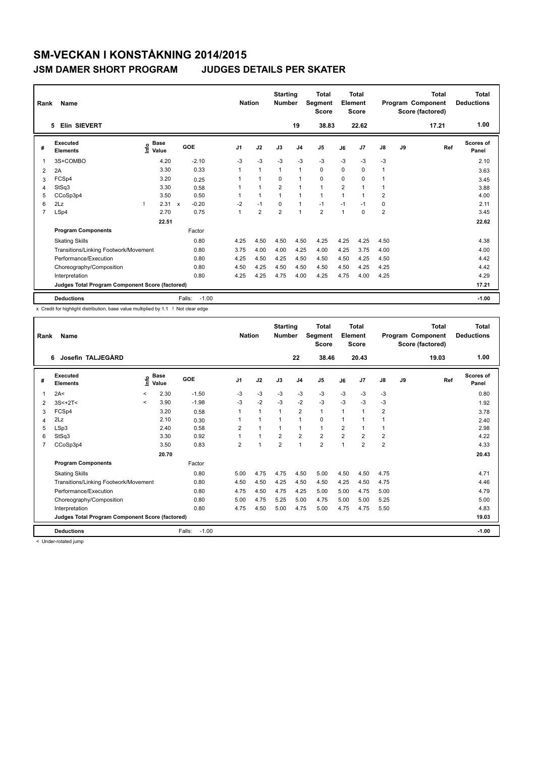### **JSM DAMER SHORT PROGRAM JUDGES DETAILS PER SKATER**

| Rank           | Name<br>Elin SIEVERT<br>5                       |      |                      |              |            | <b>Nation</b>  |                | <b>Starting</b><br><b>Number</b> | 19             | Total<br>Segment<br><b>Score</b><br>38.83 |                | <b>Total</b><br>Element<br><b>Score</b><br>22.62 |                |    | <b>Total</b><br>Program Component<br>Score (factored)<br>17.21 | Total<br><b>Deductions</b><br>1.00 |
|----------------|-------------------------------------------------|------|----------------------|--------------|------------|----------------|----------------|----------------------------------|----------------|-------------------------------------------|----------------|--------------------------------------------------|----------------|----|----------------------------------------------------------------|------------------------------------|
|                |                                                 |      |                      |              |            |                |                |                                  |                |                                           |                |                                                  |                |    |                                                                |                                    |
| #              | Executed<br><b>Elements</b>                     | Info | <b>Base</b><br>Value |              | <b>GOE</b> | J <sub>1</sub> | J2             | J3                               | J <sub>4</sub> | J <sub>5</sub>                            | J6             | J <sub>7</sub>                                   | $\mathsf{J}8$  | J9 | Ref                                                            | Scores of<br>Panel                 |
| $\mathbf 1$    | 3S+COMBO                                        |      | 4.20                 |              | $-2.10$    | $-3$           | $-3$           | $-3$                             | $-3$           | $-3$                                      | $-3$           | $-3$                                             | $-3$           |    |                                                                | 2.10                               |
| 2              | 2A                                              |      | 3.30                 |              | 0.33       | 1              | $\mathbf{1}$   | $\mathbf{1}$                     | $\mathbf{1}$   | $\mathbf 0$                               | 0              | 0                                                | 1              |    |                                                                | 3.63                               |
| 3              | FCSp4                                           |      | 3.20                 |              | 0.25       |                | $\mathbf{1}$   | 0                                | $\mathbf{1}$   | $\mathbf 0$                               | 0              | 0                                                |                |    |                                                                | 3.45                               |
| 4              | StSq3                                           |      | 3.30                 |              | 0.58       | 1              | $\overline{1}$ | $\overline{2}$                   | $\mathbf{1}$   | $\mathbf{1}$                              | $\overline{2}$ | 1                                                | 1              |    |                                                                | 3.88                               |
| 5              | CCoSp3p4                                        |      | 3.50                 |              | 0.50       |                | $\mathbf{1}$   | 1                                | $\mathbf 1$    | $\mathbf{1}$                              | 1              | $\overline{1}$                                   | 2              |    |                                                                | 4.00                               |
| 6              | 2Lz                                             |      | 2.31                 | $\mathbf{x}$ | $-0.20$    | $-2$           | $-1$           | $\Omega$                         | $\mathbf{1}$   | $-1$                                      | $-1$           | $-1$                                             | 0              |    |                                                                | 2.11                               |
| $\overline{7}$ | LSp4                                            |      | 2.70                 |              | 0.75       | 1              | $\overline{2}$ | $\overline{2}$                   | $\mathbf{1}$   | $\overline{2}$                            | $\overline{1}$ | $\Omega$                                         | $\overline{2}$ |    |                                                                | 3.45                               |
|                |                                                 |      | 22.51                |              |            |                |                |                                  |                |                                           |                |                                                  |                |    |                                                                | 22.62                              |
|                | <b>Program Components</b>                       |      |                      |              | Factor     |                |                |                                  |                |                                           |                |                                                  |                |    |                                                                |                                    |
|                | <b>Skating Skills</b>                           |      |                      |              | 0.80       | 4.25           | 4.50           | 4.50                             | 4.50           | 4.25                                      | 4.25           | 4.25                                             | 4.50           |    |                                                                | 4.38                               |
|                | Transitions/Linking Footwork/Movement           |      |                      |              | 0.80       | 3.75           | 4.00           | 4.00                             | 4.25           | 4.00                                      | 4.25           | 3.75                                             | 4.00           |    |                                                                | 4.00                               |
|                | Performance/Execution                           |      |                      |              | 0.80       | 4.25           | 4.50           | 4.25                             | 4.50           | 4.50                                      | 4.50           | 4.25                                             | 4.50           |    |                                                                | 4.42                               |
|                | Choreography/Composition                        |      |                      |              | 0.80       | 4.50           | 4.25           | 4.50                             | 4.50           | 4.50                                      | 4.50           | 4.25                                             | 4.25           |    |                                                                | 4.42                               |
|                | Interpretation                                  |      |                      |              | 0.80       | 4.25           | 4.25           | 4.75                             | 4.00           | 4.25                                      | 4.75           | 4.00                                             | 4.25           |    |                                                                | 4.29                               |
|                | Judges Total Program Component Score (factored) |      |                      |              |            |                |                |                                  |                |                                           |                |                                                  |                |    |                                                                | 17.21                              |
|                | <b>Deductions</b>                               |      |                      | Falls:       | $-1.00$    |                |                |                                  |                |                                           |                |                                                  |                |    |                                                                | $-1.00$                            |

x Credit for highlight distribution, base value multiplied by 1.1 ! Not clear edge

| Rank           | Name                                            |              |                      |                   | <b>Nation</b>  |                | <b>Starting</b><br><b>Number</b> |                         | Total<br>Segment<br><b>Score</b> |                | <b>Total</b><br>Element<br><b>Score</b> |                |    | Total<br>Program Component<br>Score (factored) | <b>Total</b><br><b>Deductions</b> |
|----------------|-------------------------------------------------|--------------|----------------------|-------------------|----------------|----------------|----------------------------------|-------------------------|----------------------------------|----------------|-----------------------------------------|----------------|----|------------------------------------------------|-----------------------------------|
|                | Josefin TALJEGÅRD<br>6                          |              |                      |                   |                |                |                                  | 22                      | 38.46                            |                | 20.43                                   |                |    | 19.03                                          | 1.00                              |
| #              | Executed<br><b>Elements</b>                     | ١nf٥         | <b>Base</b><br>Value | GOE               | J <sub>1</sub> | J2             | J3                               | J <sub>4</sub>          | J <sub>5</sub>                   | J6             | J7                                      | J8             | J9 | Ref                                            | <b>Scores of</b><br>Panel         |
| 1              | 2A<                                             | $\checkmark$ | 2.30                 | $-1.50$           | $-3$           | $-3$           | $-3$                             | $-3$                    | $-3$                             | $-3$           | $-3$                                    | $-3$           |    |                                                | 0.80                              |
| 2              | $3S<+2T<$                                       | $\prec$      | 3.90                 | $-1.98$           | $-3$           | $-2$           | $-3$                             | $-2$                    | $-3$                             | $-3$           | $-3$                                    | $-3$           |    |                                                | 1.92                              |
| 3              | FCSp4                                           |              | 3.20                 | 0.58              |                | $\mathbf{1}$   | 1                                | $\overline{2}$          | $\mathbf{1}$                     | $\mathbf{1}$   | $\overline{1}$                          | $\overline{2}$ |    |                                                | 3.78                              |
| 4              | 2Lz                                             |              | 2.10                 | 0.30              |                | $\overline{1}$ |                                  | 1                       | 0                                | 1              | 1                                       | 1              |    |                                                | 2.40                              |
| 5              | LSp3                                            |              | 2.40                 | 0.58              | 2              | 1              |                                  | 1                       | $\mathbf{1}$                     | $\overline{2}$ | $\mathbf 1$                             | 1              |    |                                                | 2.98                              |
| 6              | StSq3                                           |              | 3.30                 | 0.92              |                | $\mathbf{1}$   | $\overline{2}$                   | $\overline{\mathbf{c}}$ | $\overline{\mathbf{c}}$          | 2              | $\overline{\mathbf{c}}$                 | 2              |    |                                                | 4.22                              |
| $\overline{7}$ | CCoSp3p4                                        |              | 3.50                 | 0.83              | 2              | $\overline{1}$ | $\overline{2}$                   | $\mathbf{1}$            | $\overline{2}$                   | $\mathbf 1$    | $\overline{2}$                          | $\overline{2}$ |    |                                                | 4.33                              |
|                |                                                 |              | 20.70                |                   |                |                |                                  |                         |                                  |                |                                         |                |    |                                                | 20.43                             |
|                | <b>Program Components</b>                       |              |                      | Factor            |                |                |                                  |                         |                                  |                |                                         |                |    |                                                |                                   |
|                | <b>Skating Skills</b>                           |              |                      | 0.80              | 5.00           | 4.75           | 4.75                             | 4.50                    | 5.00                             | 4.50           | 4.50                                    | 4.75           |    |                                                | 4.71                              |
|                | Transitions/Linking Footwork/Movement           |              |                      | 0.80              | 4.50           | 4.50           | 4.25                             | 4.50                    | 4.50                             | 4.25           | 4.50                                    | 4.75           |    |                                                | 4.46                              |
|                | Performance/Execution                           |              |                      | 0.80              | 4.75           | 4.50           | 4.75                             | 4.25                    | 5.00                             | 5.00           | 4.75                                    | 5.00           |    |                                                | 4.79                              |
|                | Choreography/Composition                        |              |                      | 0.80              | 5.00           | 4.75           | 5.25                             | 5.00                    | 4.75                             | 5.00           | 5.00                                    | 5.25           |    |                                                | 5.00                              |
|                | Interpretation                                  |              |                      | 0.80              | 4.75           | 4.50           | 5.00                             | 4.75                    | 5.00                             | 4.75           | 4.75                                    | 5.50           |    |                                                | 4.83                              |
|                | Judges Total Program Component Score (factored) |              |                      |                   |                |                |                                  |                         |                                  |                |                                         |                |    |                                                | 19.03                             |
|                | <b>Deductions</b>                               |              |                      | Falls:<br>$-1.00$ |                |                |                                  |                         |                                  |                |                                         |                |    |                                                | $-1.00$                           |

< Under-rotated jump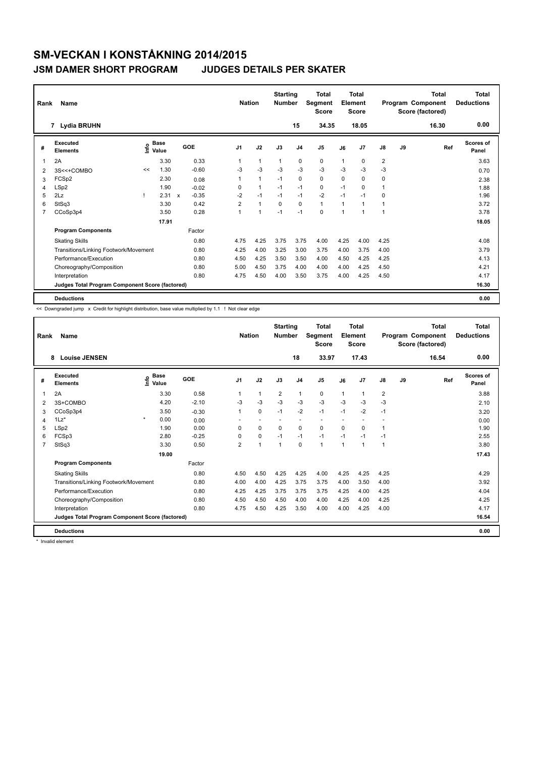### **JSM DAMER SHORT PROGRAM JUDGES DETAILS PER SKATER**

| Rank           | Name                                            |    |                                  |                         |                | <b>Nation</b> | <b>Starting</b><br><b>Number</b> |                | <b>Total</b><br>Segment<br><b>Score</b> |              | <b>Total</b><br>Element<br><b>Score</b> |                |    | <b>Total</b><br>Program Component<br>Score (factored) | <b>Total</b><br><b>Deductions</b> |
|----------------|-------------------------------------------------|----|----------------------------------|-------------------------|----------------|---------------|----------------------------------|----------------|-----------------------------------------|--------------|-----------------------------------------|----------------|----|-------------------------------------------------------|-----------------------------------|
|                | 7 Lydia BRUHN                                   |    |                                  |                         |                |               |                                  | 15             | 34.35                                   |              | 18.05                                   |                |    | 16.30                                                 | 0.00                              |
| #              | Executed<br><b>Elements</b>                     |    | <b>Base</b><br>e Base<br>⊆ Value | GOE                     | J <sub>1</sub> | J2            | J3                               | J <sub>4</sub> | J5                                      | J6           | J7                                      | J8             | J9 | Ref                                                   | Scores of<br>Panel                |
| 1              | 2A                                              |    | 3.30                             | 0.33                    | 1              | $\mathbf{1}$  | $\mathbf{1}$                     | 0              | 0                                       | $\mathbf{1}$ | 0                                       | $\overline{2}$ |    |                                                       | 3.63                              |
| $\overline{2}$ | 3S<<+COMBO                                      | << | 1.30                             | $-0.60$                 | -3             | $-3$          | $-3$                             | $-3$           | $-3$                                    | $-3$         | $-3$                                    | $-3$           |    |                                                       | 0.70                              |
| 3              | FCSp2                                           |    | 2.30                             | 0.08                    | 1              | $\mathbf{1}$  | $-1$                             | $\Omega$       | 0                                       | $\Omega$     | 0                                       | 0              |    |                                                       | 2.38                              |
| 4              | LSp2                                            |    | 1.90                             | $-0.02$                 | 0              | $\mathbf{1}$  | $-1$                             | $-1$           | 0                                       | $-1$         | 0                                       | 1              |    |                                                       | 1.88                              |
| 5              | 2Lz                                             |    | 2.31                             | $-0.35$<br>$\mathsf{x}$ | $-2$           | $-1$          | $-1$                             | $-1$           | $-2$                                    | $-1$         | $-1$                                    | 0              |    |                                                       | 1.96                              |
| 6              | StSq3                                           |    | 3.30                             | 0.42                    | $\overline{2}$ | $\mathbf{1}$  | $\Omega$                         | $\Omega$       | $\mathbf{1}$                            | $\mathbf{1}$ | -1                                      | 1              |    |                                                       | 3.72                              |
| $\overline{7}$ | CCoSp3p4                                        |    | 3.50                             | 0.28                    | 1              | $\mathbf{1}$  | $-1$                             | $-1$           | 0                                       | $\mathbf 1$  | 1                                       | 1              |    |                                                       | 3.78                              |
|                |                                                 |    | 17.91                            |                         |                |               |                                  |                |                                         |              |                                         |                |    |                                                       | 18.05                             |
|                | <b>Program Components</b>                       |    |                                  | Factor                  |                |               |                                  |                |                                         |              |                                         |                |    |                                                       |                                   |
|                | <b>Skating Skills</b>                           |    |                                  | 0.80                    | 4.75           | 4.25          | 3.75                             | 3.75           | 4.00                                    | 4.25         | 4.00                                    | 4.25           |    |                                                       | 4.08                              |
|                | Transitions/Linking Footwork/Movement           |    |                                  | 0.80                    | 4.25           | 4.00          | 3.25                             | 3.00           | 3.75                                    | 4.00         | 3.75                                    | 4.00           |    |                                                       | 3.79                              |
|                | Performance/Execution                           |    |                                  | 0.80                    | 4.50           | 4.25          | 3.50                             | 3.50           | 4.00                                    | 4.50         | 4.25                                    | 4.25           |    |                                                       | 4.13                              |
|                | Choreography/Composition                        |    |                                  | 0.80                    | 5.00           | 4.50          | 3.75                             | 4.00           | 4.00                                    | 4.00         | 4.25                                    | 4.50           |    |                                                       | 4.21                              |
|                | Interpretation                                  |    |                                  | 0.80                    | 4.75           | 4.50          | 4.00                             | 3.50           | 3.75                                    | 4.00         | 4.25                                    | 4.50           |    |                                                       | 4.17                              |
|                | Judges Total Program Component Score (factored) |    |                                  |                         |                |               |                                  |                |                                         |              |                                         |                |    |                                                       | 16.30                             |
|                | <b>Deductions</b>                               |    |                                  |                         |                |               |                                  |                |                                         |              |                                         |                |    |                                                       | 0.00                              |

<< Downgraded jump x Credit for highlight distribution, base value multiplied by 1.1 ! Not clear edge

| Rank | Name                                            |         |                      |         | <b>Nation</b>  |              | <b>Starting</b><br><b>Number</b> |                          | <b>Total</b><br>Segment<br><b>Score</b> |                | Total<br>Element<br><b>Score</b> |                |    | Total<br>Program Component<br>Score (factored) | Total<br><b>Deductions</b> |
|------|-------------------------------------------------|---------|----------------------|---------|----------------|--------------|----------------------------------|--------------------------|-----------------------------------------|----------------|----------------------------------|----------------|----|------------------------------------------------|----------------------------|
|      | <b>Louise JENSEN</b><br>8                       |         |                      |         |                |              |                                  | 18                       | 33.97                                   |                | 17.43                            |                |    | 16.54                                          | 0.00                       |
| #    | <b>Executed</b><br><b>Elements</b>              | ١nfo    | <b>Base</b><br>Value | GOE     | J <sub>1</sub> | J2           | J3                               | J <sub>4</sub>           | J <sub>5</sub>                          | J6             | J <sub>7</sub>                   | J8             | J9 | Ref                                            | <b>Scores of</b><br>Panel  |
| 1    | 2A                                              |         | 3.30                 | 0.58    |                | 1            | $\overline{2}$                   | $\mathbf{1}$             | 0                                       | $\mathbf{1}$   | $\overline{1}$                   | $\overline{2}$ |    |                                                | 3.88                       |
| 2    | 3S+COMBO                                        |         | 4.20                 | $-2.10$ | $-3$           | $-3$         | $-3$                             | $-3$                     | $-3$                                    | $-3$           | $-3$                             | $-3$           |    |                                                | 2.10                       |
| 3    | CCoSp3p4                                        |         | 3.50                 | $-0.30$ | 1              | 0            | $-1$                             | $-2$                     | $-1$                                    | $-1$           | $-2$                             | $-1$           |    |                                                | 3.20                       |
| 4    | $1\text{Lz}^*$                                  | $\star$ | 0.00                 | 0.00    |                |              |                                  | $\overline{\phantom{a}}$ | $\overline{\phantom{a}}$                |                | ٠                                |                |    |                                                | 0.00                       |
| 5    | LSp2                                            |         | 1.90                 | 0.00    | $\Omega$       | 0            | $\Omega$                         | 0                        | 0                                       | $\Omega$       | $\mathbf 0$                      |                |    |                                                | 1.90                       |
| 6    | FCSp3                                           |         | 2.80                 | $-0.25$ | $\Omega$       | 0            | $-1$                             | $-1$                     | $-1$                                    | $-1$           | $-1$                             | $-1$           |    |                                                | 2.55                       |
|      | StSq3                                           |         | 3.30                 | 0.50    | $\overline{2}$ | $\mathbf{1}$ | $\overline{1}$                   | 0                        | $\mathbf{1}$                            | $\overline{1}$ | $\overline{1}$                   | 1              |    |                                                | 3.80                       |
|      |                                                 |         | 19.00                |         |                |              |                                  |                          |                                         |                |                                  |                |    |                                                | 17.43                      |
|      | <b>Program Components</b>                       |         |                      | Factor  |                |              |                                  |                          |                                         |                |                                  |                |    |                                                |                            |
|      | <b>Skating Skills</b>                           |         |                      | 0.80    | 4.50           | 4.50         | 4.25                             | 4.25                     | 4.00                                    | 4.25           | 4.25                             | 4.25           |    |                                                | 4.29                       |
|      | Transitions/Linking Footwork/Movement           |         |                      | 0.80    | 4.00           | 4.00         | 4.25                             | 3.75                     | 3.75                                    | 4.00           | 3.50                             | 4.00           |    |                                                | 3.92                       |
|      | Performance/Execution                           |         |                      | 0.80    | 4.25           | 4.25         | 3.75                             | 3.75                     | 3.75                                    | 4.25           | 4.00                             | 4.25           |    |                                                | 4.04                       |
|      | Choreography/Composition                        |         |                      | 0.80    | 4.50           | 4.50         | 4.50                             | 4.00                     | 4.00                                    | 4.25           | 4.00                             | 4.25           |    |                                                | 4.25                       |
|      | Interpretation                                  |         |                      | 0.80    | 4.75           | 4.50         | 4.25                             | 3.50                     | 4.00                                    | 4.00           | 4.25                             | 4.00           |    |                                                | 4.17                       |
|      | Judges Total Program Component Score (factored) |         |                      |         |                |              |                                  |                          |                                         |                |                                  |                |    |                                                | 16.54                      |
|      | <b>Deductions</b>                               |         |                      |         |                |              |                                  |                          |                                         |                |                                  |                |    |                                                | 0.00                       |

\* Invalid element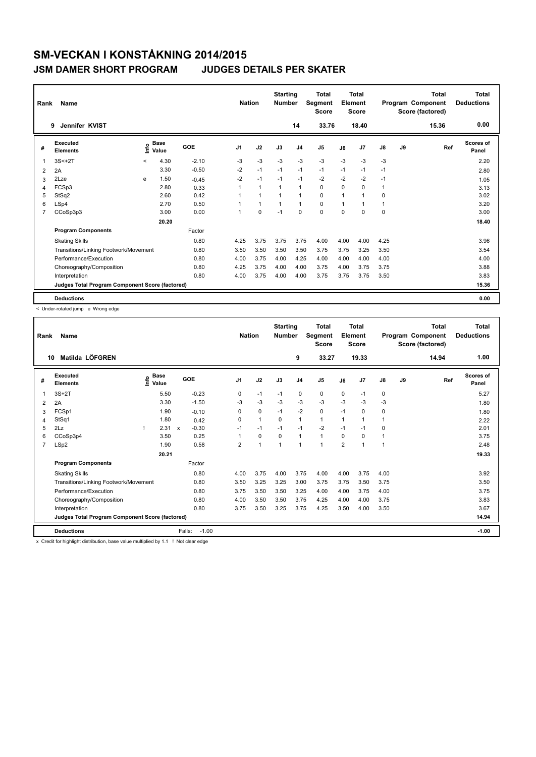### **JSM DAMER SHORT PROGRAM JUDGES DETAILS PER SKATER**

| Rank           | <b>Name</b>                                     |         |                      |         | <b>Nation</b>  |              | <b>Starting</b><br><b>Number</b> |                | <b>Total</b><br>Segment<br><b>Score</b> |      | <b>Total</b><br>Element<br><b>Score</b> |               |    | <b>Total</b><br>Program Component<br>Score (factored) | <b>Total</b><br><b>Deductions</b> |
|----------------|-------------------------------------------------|---------|----------------------|---------|----------------|--------------|----------------------------------|----------------|-----------------------------------------|------|-----------------------------------------|---------------|----|-------------------------------------------------------|-----------------------------------|
|                | Jennifer KVIST<br>9                             |         |                      |         |                |              |                                  | 14             | 33.76                                   |      | 18.40                                   |               |    | 15.36                                                 | 0.00                              |
| #              | Executed<br><b>Elements</b>                     | ١nf٥    | <b>Base</b><br>Value | GOE     | J <sub>1</sub> | J2           | J3                               | J <sub>4</sub> | J <sub>5</sub>                          | J6   | J7                                      | $\mathsf{J}8$ | J9 | Ref                                                   | Scores of<br>Panel                |
| 1              | $3S < +2T$                                      | $\prec$ | 4.30                 | $-2.10$ | $-3$           | $-3$         | $-3$                             | $-3$           | $-3$                                    | $-3$ | $-3$                                    | $-3$          |    |                                                       | 2.20                              |
| 2              | 2A                                              |         | 3.30                 | $-0.50$ | $-2$           | $-1$         | $-1$                             | $-1$           | $-1$                                    | $-1$ | $-1$                                    | $-1$          |    |                                                       | 2.80                              |
| 3              | 2Lze                                            | e       | 1.50                 | $-0.45$ | $-2$           | $-1$         | $-1$                             | $-1$           | $-2$                                    | $-2$ | $-2$                                    | $-1$          |    |                                                       | 1.05                              |
| 4              | FCSp3                                           |         | 2.80                 | 0.33    |                | $\mathbf{1}$ |                                  | $\mathbf{1}$   | 0                                       | 0    | 0                                       | 1             |    |                                                       | 3.13                              |
| 5              | StSq2                                           |         | 2.60                 | 0.42    |                | $\mathbf{1}$ |                                  | $\mathbf{1}$   | 0                                       | 1    | 1                                       | 0             |    |                                                       | 3.02                              |
| 6              | LSp4                                            |         | 2.70                 | 0.50    |                | $\mathbf{1}$ | $\mathbf{1}$                     | $\overline{1}$ | $\mathbf 0$                             | 1    | 1                                       | 1             |    |                                                       | 3.20                              |
| $\overline{7}$ | CCoSp3p3                                        |         | 3.00                 | 0.00    | 1              | $\mathbf 0$  | $-1$                             | $\mathbf 0$    | $\mathbf 0$                             | 0    | 0                                       | 0             |    |                                                       | 3.00                              |
|                |                                                 |         | 20.20                |         |                |              |                                  |                |                                         |      |                                         |               |    |                                                       | 18.40                             |
|                | <b>Program Components</b>                       |         |                      | Factor  |                |              |                                  |                |                                         |      |                                         |               |    |                                                       |                                   |
|                | <b>Skating Skills</b>                           |         |                      | 0.80    | 4.25           | 3.75         | 3.75                             | 3.75           | 4.00                                    | 4.00 | 4.00                                    | 4.25          |    |                                                       | 3.96                              |
|                | Transitions/Linking Footwork/Movement           |         |                      | 0.80    | 3.50           | 3.50         | 3.50                             | 3.50           | 3.75                                    | 3.75 | 3.25                                    | 3.50          |    |                                                       | 3.54                              |
|                | Performance/Execution                           |         |                      | 0.80    | 4.00           | 3.75         | 4.00                             | 4.25           | 4.00                                    | 4.00 | 4.00                                    | 4.00          |    |                                                       | 4.00                              |
|                | Choreography/Composition                        |         |                      | 0.80    | 4.25           | 3.75         | 4.00                             | 4.00           | 3.75                                    | 4.00 | 3.75                                    | 3.75          |    |                                                       | 3.88                              |
|                | Interpretation                                  |         |                      | 0.80    | 4.00           | 3.75         | 4.00                             | 4.00           | 3.75                                    | 3.75 | 3.75                                    | 3.50          |    |                                                       | 3.83                              |
|                | Judges Total Program Component Score (factored) |         |                      |         |                |              |                                  |                |                                         |      |                                         |               |    |                                                       | 15.36                             |
|                | <b>Deductions</b>                               |         |                      |         |                |              |                                  |                |                                         |      |                                         |               |    |                                                       | 0.00                              |

< Under-rotated jump e Wrong edge

| Rank           | Name                                            |                    |              |                   | <b>Nation</b>  |              | <b>Starting</b><br><b>Number</b> |                | <b>Total</b><br>Segment<br><b>Score</b> |                | <b>Total</b><br>Element<br><b>Score</b> |               |    | <b>Total</b><br>Program Component<br>Score (factored) | <b>Total</b><br><b>Deductions</b> |
|----------------|-------------------------------------------------|--------------------|--------------|-------------------|----------------|--------------|----------------------------------|----------------|-----------------------------------------|----------------|-----------------------------------------|---------------|----|-------------------------------------------------------|-----------------------------------|
| 10             | Matilda LÖFGREN                                 |                    |              |                   |                |              |                                  | 9              | 33.27                                   |                | 19.33                                   |               |    | 14.94                                                 | 1.00                              |
| #              | <b>Executed</b><br><b>Elements</b>              | $\frac{e}{2}$ Base |              | GOE               | J1             | J2           | J3                               | J <sub>4</sub> | J <sub>5</sub>                          | J6             | J <sub>7</sub>                          | $\mathsf{J}8$ | J9 | Ref                                                   | <b>Scores of</b><br>Panel         |
| 1              | $3S+2T$                                         | 5.50               |              | $-0.23$           | 0              | $-1$         | $-1$                             | $\mathbf 0$    | $\mathbf 0$                             | 0              | $-1$                                    | $\mathbf 0$   |    |                                                       | 5.27                              |
| 2              | 2A                                              | 3.30               |              | $-1.50$           | $-3$           | $-3$         | $-3$                             | $-3$           | $-3$                                    | $-3$           | $-3$                                    | $-3$          |    |                                                       | 1.80                              |
| 3              | FCSp1                                           | 1.90               |              | $-0.10$           | 0              | $\mathbf 0$  | $-1$                             | $-2$           | 0                                       | $-1$           | $\Omega$                                | 0             |    |                                                       | 1.80                              |
| 4              | StSq1                                           | 1.80               |              | 0.42              | $\Omega$       | $\mathbf{1}$ | $\Omega$                         | $\mathbf{1}$   | $\mathbf{1}$                            | 1              |                                         | 1             |    |                                                       | 2.22                              |
| 5              | 2Lz                                             | 2.31               | $\mathsf{x}$ | $-0.30$           | $-1$           | $-1$         | $-1$                             | $-1$           | $-2$                                    | $-1$           | $-1$                                    | 0             |    |                                                       | 2.01                              |
| 6              | CCoSp3p4                                        | 3.50               |              | 0.25              | 1              | $\mathbf 0$  | $\Omega$                         | $\mathbf{1}$   | $\mathbf{1}$                            | $\Omega$       | $\Omega$                                | 1             |    |                                                       | 3.75                              |
| $\overline{7}$ | LSp2                                            | 1.90               |              | 0.58              | $\overline{2}$ | 1            | $\mathbf{1}$                     | $\mathbf{1}$   | $\overline{1}$                          | $\overline{2}$ | 1                                       | 1             |    |                                                       | 2.48                              |
|                |                                                 | 20.21              |              |                   |                |              |                                  |                |                                         |                |                                         |               |    |                                                       | 19.33                             |
|                | <b>Program Components</b>                       |                    |              | Factor            |                |              |                                  |                |                                         |                |                                         |               |    |                                                       |                                   |
|                | <b>Skating Skills</b>                           |                    |              | 0.80              | 4.00           | 3.75         | 4.00                             | 3.75           | 4.00                                    | 4.00           | 3.75                                    | 4.00          |    |                                                       | 3.92                              |
|                | Transitions/Linking Footwork/Movement           |                    |              | 0.80              | 3.50           | 3.25         | 3.25                             | 3.00           | 3.75                                    | 3.75           | 3.50                                    | 3.75          |    |                                                       | 3.50                              |
|                | Performance/Execution                           |                    |              | 0.80              | 3.75           | 3.50         | 3.50                             | 3.25           | 4.00                                    | 4.00           | 3.75                                    | 4.00          |    |                                                       | 3.75                              |
|                | Choreography/Composition                        |                    |              | 0.80              | 4.00           | 3.50         | 3.50                             | 3.75           | 4.25                                    | 4.00           | 4.00                                    | 3.75          |    |                                                       | 3.83                              |
|                | Interpretation                                  |                    |              | 0.80              | 3.75           | 3.50         | 3.25                             | 3.75           | 4.25                                    | 3.50           | 4.00                                    | 3.50          |    |                                                       | 3.67                              |
|                | Judges Total Program Component Score (factored) |                    |              |                   |                |              |                                  |                |                                         |                |                                         |               |    |                                                       | 14.94                             |
|                | <b>Deductions</b>                               |                    |              | Falls:<br>$-1.00$ |                |              |                                  |                |                                         |                |                                         |               |    |                                                       | $-1.00$                           |

x Credit for highlight distribution, base value multiplied by 1.1 ! Not clear edge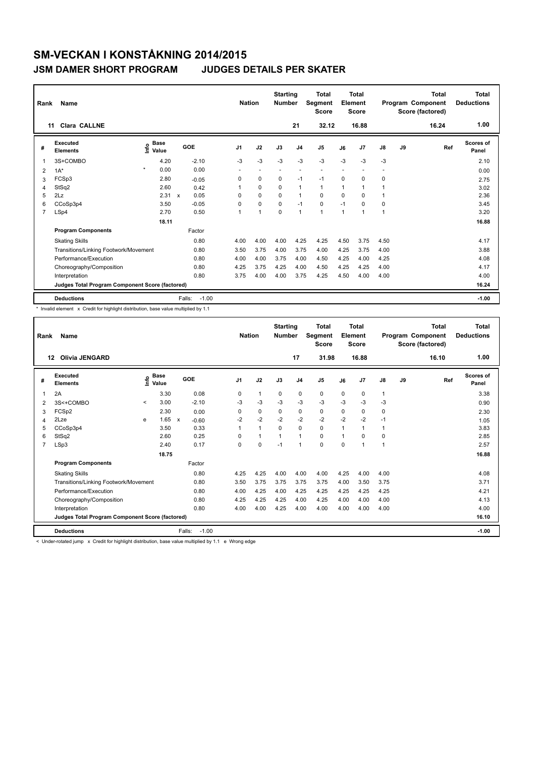### **JSM DAMER SHORT PROGRAM JUDGES DETAILS PER SKATER**

| Rank | Name                                            |                                  |       |                     | <b>Nation</b>  |                          | <b>Starting</b><br><b>Number</b> |                | <b>Total</b><br>Segment<br><b>Score</b> |          | <b>Total</b><br>Element<br><b>Score</b> |      |    | <b>Total</b><br>Program Component<br>Score (factored) | Total<br><b>Deductions</b><br>1.00 |
|------|-------------------------------------------------|----------------------------------|-------|---------------------|----------------|--------------------------|----------------------------------|----------------|-----------------------------------------|----------|-----------------------------------------|------|----|-------------------------------------------------------|------------------------------------|
|      | <b>Clara CALLNE</b><br>11                       |                                  |       |                     |                |                          |                                  | 21             | 32.12                                   |          | 16.88                                   |      |    | 16.24                                                 |                                    |
| #    | <b>Executed</b><br><b>Elements</b>              | <b>Base</b><br>e Base<br>⊆ Value |       | GOE                 | J <sub>1</sub> | J2                       | J3                               | J <sub>4</sub> | J <sub>5</sub>                          | J6       | J7                                      | J8   | J9 | Ref                                                   | Scores of<br>Panel                 |
| 1    | 3S+COMBO                                        | 4.20                             |       | $-2.10$             | $-3$           | $-3$                     | $-3$                             | $-3$           | $-3$                                    | $-3$     | $-3$                                    | $-3$ |    |                                                       | 2.10                               |
| 2    | $1A^*$                                          | $\star$<br>0.00                  |       | 0.00                |                | $\overline{\phantom{a}}$ | $\overline{\phantom{a}}$         | ٠              | ٠                                       |          |                                         |      |    |                                                       | 0.00                               |
| 3    | FCSp3                                           |                                  | 2.80  | $-0.05$             | 0              | 0                        | $\Omega$                         | $-1$           | $-1$                                    | $\Omega$ | $\Omega$                                | 0    |    |                                                       | 2.75                               |
| 4    | StSq2                                           |                                  | 2.60  | 0.42                | 1              | $\mathbf 0$              | $\mathbf 0$                      | $\overline{1}$ | $\mathbf{1}$                            | 1        | 1                                       | 1    |    |                                                       | 3.02                               |
| 5    | 2Lz                                             |                                  | 2.31  | 0.05<br>$\mathbf x$ | 0              | 0                        | 0                                | $\mathbf{1}$   | 0                                       | 0        | $\Omega$                                | 1    |    |                                                       | 2.36                               |
| 6    | CCoSp3p4                                        |                                  | 3.50  | $-0.05$             | 0              | $\Omega$                 | $\Omega$                         | $-1$           | $\mathbf 0$                             | $-1$     | $\Omega$                                | 0    |    |                                                       | 3.45                               |
| 7    | LSp4                                            |                                  | 2.70  | 0.50                | 1              | $\overline{1}$           | $\mathbf 0$                      | $\overline{1}$ | $\mathbf{1}$                            | 1        | 1                                       | 1    |    |                                                       | 3.20                               |
|      |                                                 |                                  | 18.11 |                     |                |                          |                                  |                |                                         |          |                                         |      |    |                                                       | 16.88                              |
|      | <b>Program Components</b>                       |                                  |       | Factor              |                |                          |                                  |                |                                         |          |                                         |      |    |                                                       |                                    |
|      | <b>Skating Skills</b>                           |                                  |       | 0.80                | 4.00           | 4.00                     | 4.00                             | 4.25           | 4.25                                    | 4.50     | 3.75                                    | 4.50 |    |                                                       | 4.17                               |
|      | Transitions/Linking Footwork/Movement           |                                  |       | 0.80                | 3.50           | 3.75                     | 4.00                             | 3.75           | 4.00                                    | 4.25     | 3.75                                    | 4.00 |    |                                                       | 3.88                               |
|      | Performance/Execution                           |                                  |       | 0.80                | 4.00           | 4.00                     | 3.75                             | 4.00           | 4.50                                    | 4.25     | 4.00                                    | 4.25 |    |                                                       | 4.08                               |
|      | Choreography/Composition                        |                                  |       | 0.80                | 4.25           | 3.75                     | 4.25                             | 4.00           | 4.50                                    | 4.25     | 4.25                                    | 4.00 |    |                                                       | 4.17                               |
|      | Interpretation                                  |                                  |       | 0.80                | 3.75           | 4.00                     | 4.00                             | 3.75           | 4.25                                    | 4.50     | 4.00                                    | 4.00 |    |                                                       | 4.00                               |
|      | Judges Total Program Component Score (factored) |                                  |       |                     |                |                          |                                  |                |                                         |          |                                         |      |    |                                                       | 16.24                              |
|      | <b>Deductions</b>                               |                                  |       | $-1.00$<br>Falls:   |                |                          |                                  |                |                                         |          |                                         |      |    |                                                       | $-1.00$                            |

\* Invalid element x Credit for highlight distribution, base value multiplied by 1.1

| Rank           | Name                                            |         |                      |              |         | <b>Nation</b>  |              | <b>Starting</b><br><b>Number</b> |                | <b>Total</b><br><b>Segment</b><br><b>Score</b> |          | <b>Total</b><br>Element<br><b>Score</b> |               |    | <b>Total</b><br>Program Component<br>Score (factored) | <b>Total</b><br><b>Deductions</b> |
|----------------|-------------------------------------------------|---------|----------------------|--------------|---------|----------------|--------------|----------------------------------|----------------|------------------------------------------------|----------|-----------------------------------------|---------------|----|-------------------------------------------------------|-----------------------------------|
|                | <b>Olivia JENGARD</b><br>12                     |         |                      |              |         |                |              |                                  | 17             | 31.98                                          |          | 16.88                                   |               |    | 16.10                                                 | 1.00                              |
| #              | Executed<br><b>Elements</b>                     | lnfo    | <b>Base</b><br>Value |              | GOE     | J <sub>1</sub> | J2           | J3                               | J <sub>4</sub> | J <sub>5</sub>                                 | J6       | J7                                      | $\mathsf{J}8$ | J9 | Ref                                                   | <b>Scores of</b><br>Panel         |
| 1              | 2A                                              |         | 3.30                 |              | 0.08    | 0              | $\mathbf{1}$ | 0                                | $\mathbf 0$    | $\mathbf 0$                                    | 0        | 0                                       | $\mathbf{1}$  |    |                                                       | 3.38                              |
| 2              | 3S<+COMBO                                       | $\prec$ | 3.00                 |              | $-2.10$ | -3             | $-3$         | $-3$                             | $-3$           | $-3$                                           | $-3$     | $-3$                                    | $-3$          |    |                                                       | 0.90                              |
| 3              | FCSp2                                           |         | 2.30                 |              | 0.00    | 0              | $\mathbf 0$  | 0                                | 0              | $\mathbf 0$                                    | $\Omega$ | 0                                       | 0             |    |                                                       | 2.30                              |
| 4              | 2Lze                                            | e       | 1.65                 | $\mathsf{x}$ | $-0.60$ | $-2$           | $-2$         | $-2$                             | $-2$           | $-2$                                           | $-2$     | $-2$                                    | $-1$          |    |                                                       | 1.05                              |
| 5              | CCoSp3p4                                        |         | 3.50                 |              | 0.33    |                | $\mathbf{1}$ | $\Omega$                         | $\Omega$       | $\mathbf 0$                                    | 1        | 1                                       | 1             |    |                                                       | 3.83                              |
| 6              | StSq2                                           |         | 2.60                 |              | 0.25    | 0              | $\mathbf{1}$ | $\mathbf{1}$                     | $\mathbf{1}$   | 0                                              | 1        | 0                                       | 0             |    |                                                       | 2.85                              |
| $\overline{7}$ | LSp3                                            |         | 2.40                 |              | 0.17    | 0              | $\mathbf 0$  | $-1$                             | $\mathbf{1}$   | $\Omega$                                       | $\Omega$ | 1                                       | 1             |    |                                                       | 2.57                              |
|                |                                                 |         | 18.75                |              |         |                |              |                                  |                |                                                |          |                                         |               |    |                                                       | 16.88                             |
|                | <b>Program Components</b>                       |         |                      |              | Factor  |                |              |                                  |                |                                                |          |                                         |               |    |                                                       |                                   |
|                | <b>Skating Skills</b>                           |         |                      |              | 0.80    | 4.25           | 4.25         | 4.00                             | 4.00           | 4.00                                           | 4.25     | 4.00                                    | 4.00          |    |                                                       | 4.08                              |
|                | Transitions/Linking Footwork/Movement           |         |                      |              | 0.80    | 3.50           | 3.75         | 3.75                             | 3.75           | 3.75                                           | 4.00     | 3.50                                    | 3.75          |    |                                                       | 3.71                              |
|                | Performance/Execution                           |         |                      |              | 0.80    | 4.00           | 4.25         | 4.00                             | 4.25           | 4.25                                           | 4.25     | 4.25                                    | 4.25          |    |                                                       | 4.21                              |
|                | Choreography/Composition                        |         |                      |              | 0.80    | 4.25           | 4.25         | 4.25                             | 4.00           | 4.25                                           | 4.00     | 4.00                                    | 4.00          |    |                                                       | 4.13                              |
|                | Interpretation                                  |         |                      |              | 0.80    | 4.00           | 4.00         | 4.25                             | 4.00           | 4.00                                           | 4.00     | 4.00                                    | 4.00          |    |                                                       | 4.00                              |
|                | Judges Total Program Component Score (factored) |         |                      |              |         |                |              |                                  |                |                                                |          |                                         |               |    |                                                       | 16.10                             |
|                | <b>Deductions</b>                               |         |                      | Falls:       | $-1.00$ |                |              |                                  |                |                                                |          |                                         |               |    |                                                       | $-1.00$                           |

< Under-rotated jump x Credit for highlight distribution, base value multiplied by 1.1 e Wrong edge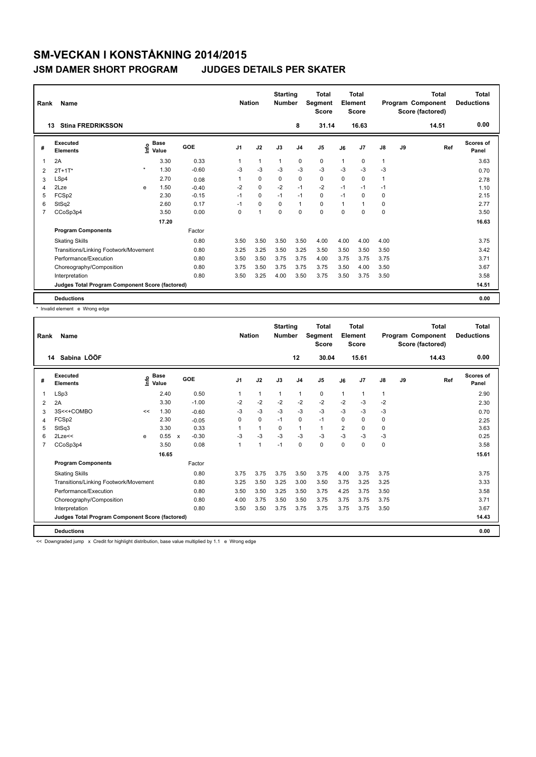### **JSM DAMER SHORT PROGRAM JUDGES DETAILS PER SKATER**

| Rank                    | Name                                            |         |                      |         | <b>Nation</b>  |             | <b>Starting</b><br><b>Number</b> |                | <b>Total</b><br>Segment<br><b>Score</b> |             | <b>Total</b><br>Element<br><b>Score</b> |              |    | <b>Total</b><br>Program Component<br>Score (factored) | <b>Total</b><br><b>Deductions</b> |
|-------------------------|-------------------------------------------------|---------|----------------------|---------|----------------|-------------|----------------------------------|----------------|-----------------------------------------|-------------|-----------------------------------------|--------------|----|-------------------------------------------------------|-----------------------------------|
|                         | <b>Stina FREDRIKSSON</b><br>13                  |         |                      |         |                |             |                                  | 8              | 31.14                                   |             | 16.63                                   |              |    | 14.51                                                 | 0.00                              |
| #                       | Executed<br><b>Elements</b>                     | lnfo    | <b>Base</b><br>Value | GOE     | J <sub>1</sub> | J2          | J3                               | J <sub>4</sub> | J <sub>5</sub>                          | J6          | J <sub>7</sub>                          | J8           | J9 | Ref                                                   | Scores of<br>Panel                |
| $\overline{\mathbf{1}}$ | 2A                                              |         | 3.30                 | 0.33    |                | 1           | $\mathbf 1$                      | $\mathbf 0$    | $\mathbf 0$                             | 1           | $\mathbf 0$                             | $\mathbf{1}$ |    |                                                       | 3.63                              |
| 2                       | $2T + 1T^*$                                     | $\star$ | 1.30                 | $-0.60$ | -3             | $-3$        | -3                               | $-3$           | $-3$                                    | -3          | $-3$                                    | $-3$         |    |                                                       | 0.70                              |
| 3                       | LSp4                                            |         | 2.70                 | 0.08    |                | $\mathbf 0$ | $\Omega$                         | $\mathbf 0$    | $\mathbf 0$                             | $\Omega$    | $\mathbf 0$                             | $\mathbf{1}$ |    |                                                       | 2.78                              |
| $\overline{4}$          | 2Lze                                            | e       | 1.50                 | $-0.40$ | $-2$           | 0           | $-2$                             | $-1$           | $-2$                                    | $-1$        | $-1$                                    | $-1$         |    |                                                       | 1.10                              |
| 5                       | FCSp2                                           |         | 2.30                 | $-0.15$ | $-1$           | $\Omega$    | $-1$                             | $-1$           | 0                                       | $-1$        | $\Omega$                                | 0            |    |                                                       | 2.15                              |
| 6                       | StSq2                                           |         | 2.60                 | 0.17    | $-1$           | $\mathbf 0$ | $\mathbf 0$                      | $\mathbf{1}$   | $\mathbf 0$                             | 1           | 1                                       | 0            |    |                                                       | 2.77                              |
| $\overline{7}$          | CCoSp3p4                                        |         | 3.50                 | 0.00    | 0              | 1           | $\mathbf 0$                      | $\mathbf 0$    | $\mathbf 0$                             | $\mathbf 0$ | 0                                       | 0            |    |                                                       | 3.50                              |
|                         |                                                 |         | 17.20                |         |                |             |                                  |                |                                         |             |                                         |              |    |                                                       | 16.63                             |
|                         | <b>Program Components</b>                       |         |                      | Factor  |                |             |                                  |                |                                         |             |                                         |              |    |                                                       |                                   |
|                         | <b>Skating Skills</b>                           |         |                      | 0.80    | 3.50           | 3.50        | 3.50                             | 3.50           | 4.00                                    | 4.00        | 4.00                                    | 4.00         |    |                                                       | 3.75                              |
|                         | Transitions/Linking Footwork/Movement           |         |                      | 0.80    | 3.25           | 3.25        | 3.50                             | 3.25           | 3.50                                    | 3.50        | 3.50                                    | 3.50         |    |                                                       | 3.42                              |
|                         | Performance/Execution                           |         |                      | 0.80    | 3.50           | 3.50        | 3.75                             | 3.75           | 4.00                                    | 3.75        | 3.75                                    | 3.75         |    |                                                       | 3.71                              |
|                         | Choreography/Composition                        |         |                      | 0.80    | 3.75           | 3.50        | 3.75                             | 3.75           | 3.75                                    | 3.50        | 4.00                                    | 3.50         |    |                                                       | 3.67                              |
|                         | Interpretation                                  |         |                      | 0.80    | 3.50           | 3.25        | 4.00                             | 3.50           | 3.75                                    | 3.50        | 3.75                                    | 3.50         |    |                                                       | 3.58                              |
|                         | Judges Total Program Component Score (factored) |         |                      |         |                |             |                                  |                |                                         |             |                                         |              |    |                                                       | 14.51                             |
|                         | <b>Deductions</b>                               |         |                      |         |                |             |                                  |                |                                         |             |                                         |              |    |                                                       | 0.00                              |

\* Invalid element e Wrong edge

| Rank           | <b>Name</b>                                     |      |                      |              |         |                | <b>Nation</b> | <b>Starting</b><br><b>Number</b> |                | <b>Total</b><br>Segment<br><b>Score</b> |                | <b>Total</b><br>Element<br><b>Score</b> |               |    | <b>Total</b><br>Program Component<br>Score (factored) | <b>Total</b><br><b>Deductions</b> |
|----------------|-------------------------------------------------|------|----------------------|--------------|---------|----------------|---------------|----------------------------------|----------------|-----------------------------------------|----------------|-----------------------------------------|---------------|----|-------------------------------------------------------|-----------------------------------|
|                | Sabina LÖÖF<br>14                               |      |                      |              |         |                |               |                                  | 12             | 30.04                                   |                | 15.61                                   |               |    | 14.43                                                 | 0.00                              |
| #              | Executed<br><b>Elements</b>                     | ١nfo | <b>Base</b><br>Value |              | GOE     | J <sub>1</sub> | J2            | J3                               | J <sub>4</sub> | J <sub>5</sub>                          | J6             | J <sub>7</sub>                          | $\mathsf{J}8$ | J9 | Ref                                                   | <b>Scores of</b><br>Panel         |
| 1              | LSp3                                            |      | 2.40                 |              | 0.50    | $\mathbf 1$    | 1             | 1                                | $\mathbf{1}$   | 0                                       | 1              | 1                                       | $\mathbf{1}$  |    |                                                       | 2.90                              |
| $\overline{2}$ | 2A                                              |      | 3.30                 |              | $-1.00$ | $-2$           | $-2$          | $-2$                             | $-2$           | $-2$                                    | $-2$           | $-3$                                    | $-2$          |    |                                                       | 2.30                              |
| 3              | 3S<<+COMBO                                      | <<   | 1.30                 |              | $-0.60$ | $-3$           | $-3$          | $-3$                             | $-3$           | $-3$                                    | $-3$           | $-3$                                    | $-3$          |    |                                                       | 0.70                              |
| 4              | FCSp2                                           |      | 2.30                 |              | $-0.05$ | $\Omega$       | $\Omega$      | $-1$                             | 0              | $-1$                                    | $\Omega$       | 0                                       | 0             |    |                                                       | 2.25                              |
| 5              | StSq3                                           |      | 3.30                 |              | 0.33    |                | 1             | $\mathbf 0$                      | $\mathbf{1}$   | $\mathbf{1}$                            | $\overline{2}$ | 0                                       | 0             |    |                                                       | 3.63                              |
| 6              | $2$ Lze $<<$                                    | e    | 0.55                 | $\mathsf{x}$ | $-0.30$ | $-3$           | $-3$          | $-3$                             | $-3$           | $-3$                                    | $-3$           | $-3$                                    | $-3$          |    |                                                       | 0.25                              |
| $\overline{7}$ | CCoSp3p4                                        |      | 3.50                 |              | 0.08    | 1              | 1             | $-1$                             | 0              | 0                                       | 0              | $\mathbf 0$                             | 0             |    |                                                       | 3.58                              |
|                |                                                 |      | 16.65                |              |         |                |               |                                  |                |                                         |                |                                         |               |    |                                                       | 15.61                             |
|                | <b>Program Components</b>                       |      |                      |              | Factor  |                |               |                                  |                |                                         |                |                                         |               |    |                                                       |                                   |
|                | <b>Skating Skills</b>                           |      |                      |              | 0.80    | 3.75           | 3.75          | 3.75                             | 3.50           | 3.75                                    | 4.00           | 3.75                                    | 3.75          |    |                                                       | 3.75                              |
|                | Transitions/Linking Footwork/Movement           |      |                      |              | 0.80    | 3.25           | 3.50          | 3.25                             | 3.00           | 3.50                                    | 3.75           | 3.25                                    | 3.25          |    |                                                       | 3.33                              |
|                | Performance/Execution                           |      |                      |              | 0.80    | 3.50           | 3.50          | 3.25                             | 3.50           | 3.75                                    | 4.25           | 3.75                                    | 3.50          |    |                                                       | 3.58                              |
|                | Choreography/Composition                        |      |                      |              | 0.80    | 4.00           | 3.75          | 3.50                             | 3.50           | 3.75                                    | 3.75           | 3.75                                    | 3.75          |    |                                                       | 3.71                              |
|                | Interpretation                                  |      |                      |              | 0.80    | 3.50           | 3.50          | 3.75                             | 3.75           | 3.75                                    | 3.75           | 3.75                                    | 3.50          |    |                                                       | 3.67                              |
|                | Judges Total Program Component Score (factored) |      |                      |              |         |                |               |                                  |                |                                         |                |                                         |               |    |                                                       | 14.43                             |
|                | <b>Deductions</b>                               |      |                      |              |         |                |               |                                  |                |                                         |                |                                         |               |    |                                                       | 0.00                              |

<< Downgraded jump x Credit for highlight distribution, base value multiplied by 1.1 e Wrong edge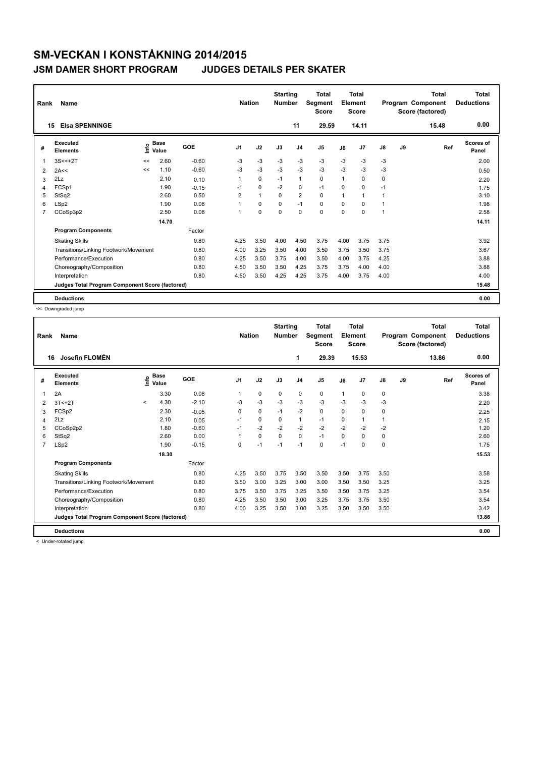### **JSM DAMER SHORT PROGRAM JUDGES DETAILS PER SKATER**

| Rank           | Name                                            |      |                      |         | <b>Nation</b>  |              | <b>Starting</b><br><b>Number</b> |                | <b>Total</b><br>Segment<br><b>Score</b> |                | <b>Total</b><br>Element<br><b>Score</b> |      |    | <b>Total</b><br>Program Component<br>Score (factored) | <b>Total</b><br><b>Deductions</b> |
|----------------|-------------------------------------------------|------|----------------------|---------|----------------|--------------|----------------------------------|----------------|-----------------------------------------|----------------|-----------------------------------------|------|----|-------------------------------------------------------|-----------------------------------|
| 15             | <b>Elsa SPENNINGE</b>                           |      |                      |         |                |              |                                  | 11             | 29.59                                   |                | 14.11                                   |      |    | 15.48                                                 | 0.00                              |
| #              | Executed<br><b>Elements</b>                     | ١nfo | <b>Base</b><br>Value | GOE     | J <sub>1</sub> | J2           | J3                               | J <sub>4</sub> | J <sub>5</sub>                          | J6             | J7                                      | J8   | J9 | Ref                                                   | Scores of<br>Panel                |
| 1              | $3S < +2T$                                      | <<   | 2.60                 | $-0.60$ | -3             | -3           | $-3$                             | $-3$           | $-3$                                    | $-3$           | $-3$                                    | -3   |    |                                                       | 2.00                              |
| 2              | 2A<<                                            | <<   | 1.10                 | $-0.60$ | $-3$           | -3           | $-3$                             | $-3$           | $-3$                                    | $-3$           | $-3$                                    | $-3$ |    |                                                       | 0.50                              |
| 3              | 2Lz                                             |      | 2.10                 | 0.10    | 1              | 0            | $-1$                             | $\mathbf{1}$   | 0                                       | 1              | $\Omega$                                | 0    |    |                                                       | 2.20                              |
| $\overline{4}$ | FCSp1                                           |      | 1.90                 | $-0.15$ | $-1$           | $\mathbf 0$  | $-2$                             | 0              | $-1$                                    | $\Omega$       | 0                                       | $-1$ |    |                                                       | 1.75                              |
| 5              | StSq2                                           |      | 2.60                 | 0.50    | 2              | $\mathbf{1}$ | $\Omega$                         | $\overline{2}$ | 0                                       | $\overline{1}$ | 1                                       | 1    |    |                                                       | 3.10                              |
| 6              | LSp2                                            |      | 1.90                 | 0.08    |                | $\Omega$     | $\Omega$                         | $-1$           | 0                                       | 0              | $\Omega$                                | 1    |    |                                                       | 1.98                              |
| $\overline{7}$ | CCoSp3p2                                        |      | 2.50                 | 0.08    | 1              | 0            | $\mathbf 0$                      | $\mathbf 0$    | 0                                       | 0              | 0                                       | 1    |    |                                                       | 2.58                              |
|                |                                                 |      | 14.70                |         |                |              |                                  |                |                                         |                |                                         |      |    |                                                       | 14.11                             |
|                | <b>Program Components</b>                       |      |                      | Factor  |                |              |                                  |                |                                         |                |                                         |      |    |                                                       |                                   |
|                | <b>Skating Skills</b>                           |      |                      | 0.80    | 4.25           | 3.50         | 4.00                             | 4.50           | 3.75                                    | 4.00           | 3.75                                    | 3.75 |    |                                                       | 3.92                              |
|                | Transitions/Linking Footwork/Movement           |      |                      | 0.80    | 4.00           | 3.25         | 3.50                             | 4.00           | 3.50                                    | 3.75           | 3.50                                    | 3.75 |    |                                                       | 3.67                              |
|                | Performance/Execution                           |      |                      | 0.80    | 4.25           | 3.50         | 3.75                             | 4.00           | 3.50                                    | 4.00           | 3.75                                    | 4.25 |    |                                                       | 3.88                              |
|                | Choreography/Composition                        |      |                      | 0.80    | 4.50           | 3.50         | 3.50                             | 4.25           | 3.75                                    | 3.75           | 4.00                                    | 4.00 |    |                                                       | 3.88                              |
|                | Interpretation                                  |      |                      | 0.80    | 4.50           | 3.50         | 4.25                             | 4.25           | 3.75                                    | 4.00           | 3.75                                    | 4.00 |    |                                                       | 4.00                              |
|                | Judges Total Program Component Score (factored) |      |                      |         |                |              |                                  |                |                                         |                |                                         |      |    |                                                       | 15.48                             |
|                | <b>Deductions</b>                               |      |                      |         |                |              |                                  |                |                                         |                |                                         |      |    |                                                       | 0.00                              |

<< Downgraded jump

| Rank           | Name                                            |         |                      |         | <b>Nation</b> |             | <b>Starting</b><br><b>Number</b> |                | <b>Total</b><br>Segment<br><b>Score</b> |      | <b>Total</b><br>Element<br><b>Score</b> |               |    | <b>Total</b><br>Program Component<br>Score (factored) | <b>Total</b><br><b>Deductions</b> |
|----------------|-------------------------------------------------|---------|----------------------|---------|---------------|-------------|----------------------------------|----------------|-----------------------------------------|------|-----------------------------------------|---------------|----|-------------------------------------------------------|-----------------------------------|
|                | Josefin FLOMÉN<br>16                            |         |                      |         |               |             |                                  | 1              | 29.39                                   |      | 15.53                                   |               |    | 13.86                                                 | 0.00                              |
| #              | Executed<br><b>Elements</b>                     | ۴٥      | <b>Base</b><br>Value | GOE     | J1            | J2          | J3                               | J <sub>4</sub> | J <sub>5</sub>                          | J6   | J7                                      | $\mathsf{J}8$ | J9 | Ref                                                   | <b>Scores of</b><br>Panel         |
| 1              | 2A                                              |         | 3.30                 | 0.08    |               | $\mathbf 0$ | $\mathbf 0$                      | $\mathbf 0$    | 0                                       | 1    | 0                                       | $\pmb{0}$     |    |                                                       | 3.38                              |
| 2              | $3T < +2T$                                      | $\prec$ | 4.30                 | $-2.10$ | $-3$          | $-3$        | $-3$                             | $-3$           | $-3$                                    | $-3$ | $-3$                                    | $-3$          |    |                                                       | 2.20                              |
| 3              | FCSp2                                           |         | 2.30                 | $-0.05$ | 0             | 0           | $-1$                             | $-2$           | 0                                       | 0    | 0                                       | 0             |    |                                                       | 2.25                              |
| 4              | 2Lz                                             |         | 2.10                 | 0.05    | $-1$          | $\Omega$    | 0                                | 1              | $-1$                                    | 0    | 1                                       | 1             |    |                                                       | 2.15                              |
| 5              | CCoSp2p2                                        |         | 1.80                 | $-0.60$ | $-1$          | $-2$        | $-2$                             | $-2$           | $-2$                                    | $-2$ | $-2$                                    | $-2$          |    |                                                       | 1.20                              |
| 6              | StSq2                                           |         | 2.60                 | 0.00    |               | $\mathbf 0$ | $\Omega$                         | $\Omega$       | $-1$                                    | 0    | 0                                       | 0             |    |                                                       | 2.60                              |
| $\overline{7}$ | LSp2                                            |         | 1.90                 | $-0.15$ | $\Omega$      | $-1$        | $-1$                             | $-1$           | $\Omega$                                | $-1$ | 0                                       | $\mathbf 0$   |    |                                                       | 1.75                              |
|                |                                                 |         | 18.30                |         |               |             |                                  |                |                                         |      |                                         |               |    |                                                       | 15.53                             |
|                | <b>Program Components</b>                       |         |                      | Factor  |               |             |                                  |                |                                         |      |                                         |               |    |                                                       |                                   |
|                | <b>Skating Skills</b>                           |         |                      | 0.80    | 4.25          | 3.50        | 3.75                             | 3.50           | 3.50                                    | 3.50 | 3.75                                    | 3.50          |    |                                                       | 3.58                              |
|                | Transitions/Linking Footwork/Movement           |         |                      | 0.80    | 3.50          | 3.00        | 3.25                             | 3.00           | 3.00                                    | 3.50 | 3.50                                    | 3.25          |    |                                                       | 3.25                              |
|                | Performance/Execution                           |         |                      | 0.80    | 3.75          | 3.50        | 3.75                             | 3.25           | 3.50                                    | 3.50 | 3.75                                    | 3.25          |    |                                                       | 3.54                              |
|                | Choreography/Composition                        |         |                      | 0.80    | 4.25          | 3.50        | 3.50                             | 3.00           | 3.25                                    | 3.75 | 3.75                                    | 3.50          |    |                                                       | 3.54                              |
|                | Interpretation                                  |         |                      | 0.80    | 4.00          | 3.25        | 3.50                             | 3.00           | 3.25                                    | 3.50 | 3.50                                    | 3.50          |    |                                                       | 3.42                              |
|                | Judges Total Program Component Score (factored) |         |                      |         |               |             |                                  |                |                                         |      |                                         |               |    |                                                       | 13.86                             |
|                | <b>Deductions</b>                               |         |                      |         |               |             |                                  |                |                                         |      |                                         |               |    |                                                       | 0.00                              |

< Under-rotated jump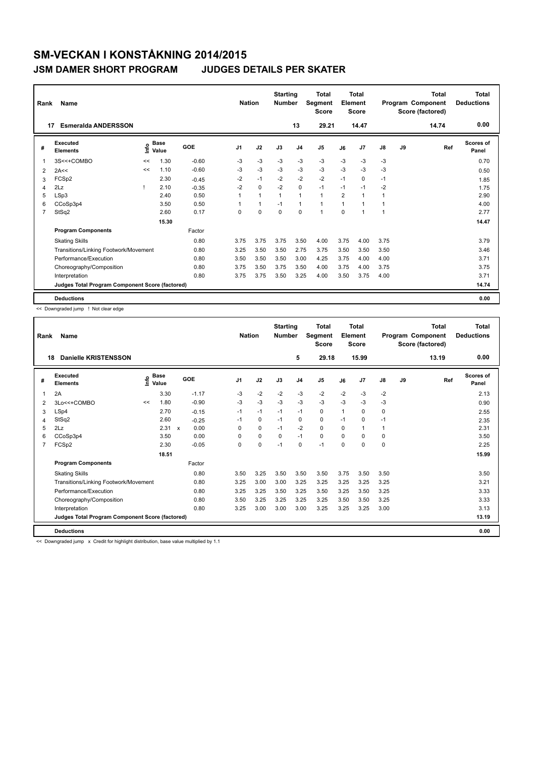### **JSM DAMER SHORT PROGRAM JUDGES DETAILS PER SKATER**

| Rank           | Name                                            |      |                      |         | <b>Nation</b>  |              | <b>Starting</b><br><b>Number</b> |                | Total<br>Segment<br><b>Score</b> |                | Total<br>Element<br><b>Score</b> |               |    | Total<br>Program Component<br>Score (factored) | <b>Total</b><br><b>Deductions</b> |
|----------------|-------------------------------------------------|------|----------------------|---------|----------------|--------------|----------------------------------|----------------|----------------------------------|----------------|----------------------------------|---------------|----|------------------------------------------------|-----------------------------------|
| 17             | <b>Esmeralda ANDERSSON</b>                      |      |                      |         |                |              |                                  | 13             | 29.21                            |                | 14.47                            |               |    | 14.74                                          | 0.00                              |
| #              | Executed<br><b>Elements</b>                     | lnfo | <b>Base</b><br>Value | GOE     | J <sub>1</sub> | J2           | J3                               | J <sub>4</sub> | J <sub>5</sub>                   | J6             | J7                               | $\mathsf{J}8$ | J9 | Ref                                            | Scores of<br>Panel                |
| 1              | 3S<<+COMBO                                      | <<   | 1.30                 | $-0.60$ | $-3$           | $-3$         | $-3$                             | $-3$           | $-3$                             | $-3$           | $-3$                             | $-3$          |    |                                                | 0.70                              |
| 2              | 2A<<                                            | <<   | 1.10                 | $-0.60$ | $-3$           | $-3$         | $-3$                             | $-3$           | $-3$                             | $-3$           | $-3$                             | $-3$          |    |                                                | 0.50                              |
| 3              | FCSp2                                           |      | 2.30                 | $-0.45$ | $-2$           | $-1$         | $-2$                             | $-2$           | $-2$                             | $-1$           | 0                                | $-1$          |    |                                                | 1.85                              |
| 4              | 2Lz                                             |      | 2.10                 | $-0.35$ | $-2$           | 0            | $-2$                             | 0              | $-1$                             | $-1$           | $-1$                             | $-2$          |    |                                                | 1.75                              |
| 5              | LSp3                                            |      | 2.40                 | 0.50    | 1              | $\mathbf{1}$ | $\mathbf{1}$                     | $\mathbf{1}$   | $\mathbf{1}$                     | $\overline{2}$ | 1                                | 1             |    |                                                | 2.90                              |
| 6              | CCoSp3p4                                        |      | 3.50                 | 0.50    |                | $\mathbf{1}$ | $-1$                             | $\mathbf{1}$   | $\mathbf{1}$                     | $\mathbf{1}$   | 1                                | 1             |    |                                                | 4.00                              |
| $\overline{7}$ | StSq2                                           |      | 2.60                 | 0.17    | 0              | $\mathbf 0$  | 0                                | $\mathbf 0$    | 1                                | 0              | 1                                | 1             |    |                                                | 2.77                              |
|                |                                                 |      | 15.30                |         |                |              |                                  |                |                                  |                |                                  |               |    |                                                | 14.47                             |
|                | <b>Program Components</b>                       |      |                      | Factor  |                |              |                                  |                |                                  |                |                                  |               |    |                                                |                                   |
|                | <b>Skating Skills</b>                           |      |                      | 0.80    | 3.75           | 3.75         | 3.75                             | 3.50           | 4.00                             | 3.75           | 4.00                             | 3.75          |    |                                                | 3.79                              |
|                | Transitions/Linking Footwork/Movement           |      |                      | 0.80    | 3.25           | 3.50         | 3.50                             | 2.75           | 3.75                             | 3.50           | 3.50                             | 3.50          |    |                                                | 3.46                              |
|                | Performance/Execution                           |      |                      | 0.80    | 3.50           | 3.50         | 3.50                             | 3.00           | 4.25                             | 3.75           | 4.00                             | 4.00          |    |                                                | 3.71                              |
|                | Choreography/Composition                        |      |                      | 0.80    | 3.75           | 3.50         | 3.75                             | 3.50           | 4.00                             | 3.75           | 4.00                             | 3.75          |    |                                                | 3.75                              |
|                | Interpretation                                  |      |                      | 0.80    | 3.75           | 3.75         | 3.50                             | 3.25           | 4.00                             | 3.50           | 3.75                             | 4.00          |    |                                                | 3.71                              |
|                | Judges Total Program Component Score (factored) |      |                      |         |                |              |                                  |                |                                  |                |                                  |               |    |                                                | 14.74                             |
|                | <b>Deductions</b>                               |      |                      |         |                |              |                                  |                |                                  |                |                                  |               |    |                                                | 0.00                              |

<< Downgraded jump ! Not clear edge

| Rank           | <b>Name</b>                                     |      |                      |         |                | <b>Nation</b> | <b>Starting</b><br><b>Number</b> |                | <b>Total</b><br>Segment<br><b>Score</b> |          | <b>Total</b><br>Element<br><b>Score</b> |               |    | <b>Total</b><br>Program Component<br>Score (factored) | <b>Total</b><br><b>Deductions</b> |
|----------------|-------------------------------------------------|------|----------------------|---------|----------------|---------------|----------------------------------|----------------|-----------------------------------------|----------|-----------------------------------------|---------------|----|-------------------------------------------------------|-----------------------------------|
| 18             | Danielle KRISTENSSON                            |      |                      |         |                |               |                                  | 5              | 29.18                                   |          | 15.99                                   |               |    | 13.19                                                 | 0.00                              |
| #              | Executed<br><b>Elements</b>                     | Life | <b>Base</b><br>Value | GOE     | J <sub>1</sub> | J2            | J3                               | J <sub>4</sub> | J5                                      | J6       | J7                                      | $\mathsf{J}8$ | J9 | Ref                                                   | <b>Scores of</b><br>Panel         |
| 1              | 2A                                              |      | 3.30                 | $-1.17$ | $-3$           | $-2$          | $-2$                             | $-3$           | $-2$                                    | $-2$     | $-3$                                    | $-2$          |    |                                                       | 2.13                              |
| 2              | 3Lo<<+COMBO                                     | <<   | 1.80                 | $-0.90$ | $-3$           | $-3$          | $-3$                             | $-3$           | $-3$                                    | $-3$     | $-3$                                    | $-3$          |    |                                                       | 0.90                              |
| 3              | LSp4                                            |      | 2.70                 | $-0.15$ | $-1$           | $-1$          | $-1$                             | $-1$           | 0                                       | 1        | 0                                       | 0             |    |                                                       | 2.55                              |
| 4              | StSq2                                           |      | 2.60                 | $-0.25$ | $-1$           | 0             | $-1$                             | 0              | 0                                       | $-1$     | $\Omega$                                | $-1$          |    |                                                       | 2.35                              |
| 5              | 2Lz                                             |      | 2.31 x               | 0.00    | $\Omega$       | 0             | $-1$                             | $-2$           | $\Omega$                                | $\Omega$ | 1                                       |               |    |                                                       | 2.31                              |
| 6              | CCoSp3p4                                        |      | 3.50                 | 0.00    | $\Omega$       | 0             | 0                                | $-1$           | 0                                       | 0        | $\Omega$                                | 0             |    |                                                       | 3.50                              |
| $\overline{7}$ | FCSp2                                           |      | 2.30                 | $-0.05$ | $\Omega$       | 0             | $-1$                             | 0              | $-1$                                    | $\Omega$ | $\Omega$                                | 0             |    |                                                       | 2.25                              |
|                |                                                 |      | 18.51                |         |                |               |                                  |                |                                         |          |                                         |               |    |                                                       | 15.99                             |
|                | <b>Program Components</b>                       |      |                      | Factor  |                |               |                                  |                |                                         |          |                                         |               |    |                                                       |                                   |
|                | <b>Skating Skills</b>                           |      |                      | 0.80    | 3.50           | 3.25          | 3.50                             | 3.50           | 3.50                                    | 3.75     | 3.50                                    | 3.50          |    |                                                       | 3.50                              |
|                | Transitions/Linking Footwork/Movement           |      |                      | 0.80    | 3.25           | 3.00          | 3.00                             | 3.25           | 3.25                                    | 3.25     | 3.25                                    | 3.25          |    |                                                       | 3.21                              |
|                | Performance/Execution                           |      |                      | 0.80    | 3.25           | 3.25          | 3.50                             | 3.25           | 3.50                                    | 3.25     | 3.50                                    | 3.25          |    |                                                       | 3.33                              |
|                | Choreography/Composition                        |      |                      | 0.80    | 3.50           | 3.25          | 3.25                             | 3.25           | 3.25                                    | 3.50     | 3.50                                    | 3.25          |    |                                                       | 3.33                              |
|                | Interpretation                                  |      |                      | 0.80    | 3.25           | 3.00          | 3.00                             | 3.00           | 3.25                                    | 3.25     | 3.25                                    | 3.00          |    |                                                       | 3.13                              |
|                | Judges Total Program Component Score (factored) |      |                      |         |                |               |                                  |                |                                         |          |                                         |               |    |                                                       | 13.19                             |
|                | <b>Deductions</b>                               |      |                      |         |                |               |                                  |                |                                         |          |                                         |               |    |                                                       | 0.00                              |

<< Downgraded jump x Credit for highlight distribution, base value multiplied by 1.1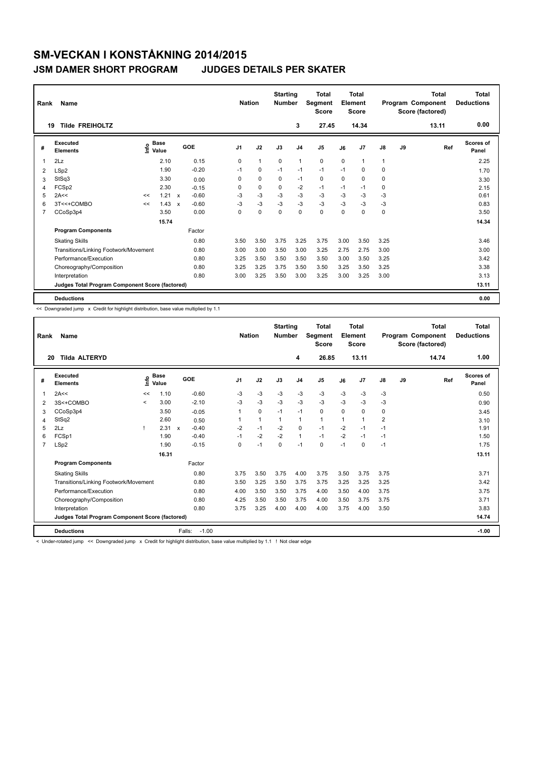### **JSM DAMER SHORT PROGRAM JUDGES DETAILS PER SKATER**

| Rank           | <b>Name</b>                                     |      |                      |                           |         | <b>Nation</b>  |              | <b>Starting</b><br><b>Number</b> |                | <b>Total</b><br>Segment<br><b>Score</b> |          | <b>Total</b><br>Element<br><b>Score</b> |              |    | <b>Total</b><br>Program Component<br>Score (factored) | <b>Total</b><br><b>Deductions</b> |
|----------------|-------------------------------------------------|------|----------------------|---------------------------|---------|----------------|--------------|----------------------------------|----------------|-----------------------------------------|----------|-----------------------------------------|--------------|----|-------------------------------------------------------|-----------------------------------|
| 19             | <b>Tilde FREIHOLTZ</b>                          |      |                      |                           |         |                |              |                                  | 3              | 27.45                                   |          | 14.34                                   |              |    | 13.11                                                 | 0.00                              |
| #              | Executed<br><b>Elements</b>                     | lnfo | <b>Base</b><br>Value |                           | GOE     | J <sub>1</sub> | J2           | J3                               | J <sub>4</sub> | J <sub>5</sub>                          | J6       | J <sub>7</sub>                          | J8           | J9 | Ref                                                   | Scores of<br>Panel                |
| $\mathbf 1$    | 2Lz                                             |      | 2.10                 |                           | 0.15    | 0              | $\mathbf{1}$ | $\mathbf 0$                      | $\mathbf{1}$   | $\mathbf 0$                             | 0        | 1                                       | $\mathbf{1}$ |    |                                                       | 2.25                              |
| 2              | LSp2                                            |      | 1.90                 |                           | $-0.20$ | $-1$           | 0            | $-1$                             | $-1$           | $-1$                                    | $-1$     | 0                                       | 0            |    |                                                       | 1.70                              |
| 3              | StSq3                                           |      | 3.30                 |                           | 0.00    | 0              | $\mathbf 0$  | 0                                | $-1$           | 0                                       | $\Omega$ | 0                                       | 0            |    |                                                       | 3.30                              |
| 4              | FCSp2                                           |      | 2.30                 |                           | $-0.15$ | 0              | $\pmb{0}$    | 0                                | -2             | $-1$                                    | $-1$     | $-1$                                    | 0            |    |                                                       | 2.15                              |
| 5              | 2A<<                                            | <<   | 1.21                 | $\mathsf{x}$              | $-0.60$ | -3             | $-3$         | $-3$                             | $-3$           | $-3$                                    | -3       | $-3$                                    | -3           |    |                                                       | 0.61                              |
| 6              | 3T<<+COMBO                                      | <<   | 1.43                 | $\boldsymbol{\mathsf{x}}$ | $-0.60$ | $-3$           | $-3$         | $-3$                             | $-3$           | $-3$                                    | $-3$     | $-3$                                    | $-3$         |    |                                                       | 0.83                              |
| $\overline{7}$ | CCoSp3p4                                        |      | 3.50                 |                           | 0.00    | 0              | $\mathbf 0$  | $\mathbf 0$                      | $\mathbf 0$    | $\mathbf 0$                             | 0        | 0                                       | 0            |    |                                                       | 3.50                              |
|                |                                                 |      | 15.74                |                           |         |                |              |                                  |                |                                         |          |                                         |              |    |                                                       | 14.34                             |
|                | <b>Program Components</b>                       |      |                      |                           | Factor  |                |              |                                  |                |                                         |          |                                         |              |    |                                                       |                                   |
|                | <b>Skating Skills</b>                           |      |                      |                           | 0.80    | 3.50           | 3.50         | 3.75                             | 3.25           | 3.75                                    | 3.00     | 3.50                                    | 3.25         |    |                                                       | 3.46                              |
|                | Transitions/Linking Footwork/Movement           |      |                      |                           | 0.80    | 3.00           | 3.00         | 3.50                             | 3.00           | 3.25                                    | 2.75     | 2.75                                    | 3.00         |    |                                                       | 3.00                              |
|                | Performance/Execution                           |      |                      |                           | 0.80    | 3.25           | 3.50         | 3.50                             | 3.50           | 3.50                                    | 3.00     | 3.50                                    | 3.25         |    |                                                       | 3.42                              |
|                | Choreography/Composition                        |      |                      |                           | 0.80    | 3.25           | 3.25         | 3.75                             | 3.50           | 3.50                                    | 3.25     | 3.50                                    | 3.25         |    |                                                       | 3.38                              |
|                | Interpretation                                  |      |                      |                           | 0.80    | 3.00           | 3.25         | 3.50                             | 3.00           | 3.25                                    | 3.00     | 3.25                                    | 3.00         |    |                                                       | 3.13                              |
|                | Judges Total Program Component Score (factored) |      |                      |                           |         |                |              |                                  |                |                                         |          |                                         |              |    |                                                       | 13.11                             |
|                | <b>Deductions</b>                               |      |                      |                           |         |                |              |                                  |                |                                         |          |                                         |              |    |                                                       | 0.00                              |

<< Downgraded jump x Credit for highlight distribution, base value multiplied by 1.1

| Rank           | Name                                            |              |                      |              |         | <b>Nation</b>  |              | <b>Starting</b><br><b>Number</b> |                | <b>Total</b><br>Segment<br><b>Score</b> |             | <b>Total</b><br>Element<br><b>Score</b> |                |    | <b>Total</b><br>Program Component<br>Score (factored) | <b>Total</b><br><b>Deductions</b> |
|----------------|-------------------------------------------------|--------------|----------------------|--------------|---------|----------------|--------------|----------------------------------|----------------|-----------------------------------------|-------------|-----------------------------------------|----------------|----|-------------------------------------------------------|-----------------------------------|
|                | <b>Tilda ALTERYD</b><br>20                      |              |                      |              |         |                |              |                                  | 4              | 26.85                                   |             | 13.11                                   |                |    | 14.74                                                 | 1.00                              |
| #              | Executed<br><b>Elements</b>                     | ۴ô           | <b>Base</b><br>Value |              | GOE     | J <sub>1</sub> | J2           | J3                               | J <sub>4</sub> | J5                                      | J6          | J <sub>7</sub>                          | J8             | J9 | Ref                                                   | <b>Scores of</b><br>Panel         |
| 1              | 2A<<                                            | <<           | 1.10                 |              | $-0.60$ | $-3$           | $-3$         | $-3$                             | $-3$           | $-3$                                    | $-3$        | $-3$                                    | $-3$           |    |                                                       | 0.50                              |
| 2              | 3S<+COMBO                                       | $\checkmark$ | 3.00                 |              | $-2.10$ | $-3$           | $-3$         | $-3$                             | $-3$           | $-3$                                    | $-3$        | $-3$                                    | $-3$           |    |                                                       | 0.90                              |
| 3              | CCoSp3p4                                        |              | 3.50                 |              | $-0.05$ |                | 0            | $-1$                             | $-1$           | 0                                       | $\Omega$    | 0                                       | 0              |    |                                                       | 3.45                              |
| 4              | StSq2                                           |              | 2.60                 |              | 0.50    |                | $\mathbf{1}$ |                                  | 1              | 1                                       | $\mathbf 1$ | 1                                       | $\overline{2}$ |    |                                                       | 3.10                              |
| 5              | 2Lz                                             |              | 2.31                 | $\mathsf{x}$ | $-0.40$ | $-2$           | $-1$         | $-2$                             | 0              | $-1$                                    | $-2$        | $-1$                                    | $-1$           |    |                                                       | 1.91                              |
| 6              | FCSp1                                           |              | 1.90                 |              | $-0.40$ | $-1$           | $-2$         | $-2$                             | $\mathbf{1}$   | $-1$                                    | $-2$        | $-1$                                    | $-1$           |    |                                                       | 1.50                              |
| $\overline{7}$ | LSp2                                            |              | 1.90                 |              | $-0.15$ | $\Omega$       | $-1$         | $\Omega$                         | $-1$           | 0                                       | $-1$        | $\Omega$                                | $-1$           |    |                                                       | 1.75                              |
|                |                                                 |              | 16.31                |              |         |                |              |                                  |                |                                         |             |                                         |                |    |                                                       | 13.11                             |
|                | <b>Program Components</b>                       |              |                      |              | Factor  |                |              |                                  |                |                                         |             |                                         |                |    |                                                       |                                   |
|                | <b>Skating Skills</b>                           |              |                      |              | 0.80    | 3.75           | 3.50         | 3.75                             | 4.00           | 3.75                                    | 3.50        | 3.75                                    | 3.75           |    |                                                       | 3.71                              |
|                | Transitions/Linking Footwork/Movement           |              |                      |              | 0.80    | 3.50           | 3.25         | 3.50                             | 3.75           | 3.75                                    | 3.25        | 3.25                                    | 3.25           |    |                                                       | 3.42                              |
|                | Performance/Execution                           |              |                      |              | 0.80    | 4.00           | 3.50         | 3.50                             | 3.75           | 4.00                                    | 3.50        | 4.00                                    | 3.75           |    |                                                       | 3.75                              |
|                | Choreography/Composition                        |              |                      |              | 0.80    | 4.25           | 3.50         | 3.50                             | 3.75           | 4.00                                    | 3.50        | 3.75                                    | 3.75           |    |                                                       | 3.71                              |
|                | Interpretation                                  |              |                      |              | 0.80    | 3.75           | 3.25         | 4.00                             | 4.00           | 4.00                                    | 3.75        | 4.00                                    | 3.50           |    |                                                       | 3.83                              |
|                | Judges Total Program Component Score (factored) |              |                      |              |         |                |              |                                  |                |                                         |             |                                         |                |    |                                                       | 14.74                             |
|                | <b>Deductions</b>                               |              |                      | Falls:       | $-1.00$ |                |              |                                  |                |                                         |             |                                         |                |    |                                                       | $-1.00$                           |

< Under-rotated jump << Downgraded jump x Credit for highlight distribution, base value multiplied by 1.1 ! Not clear edge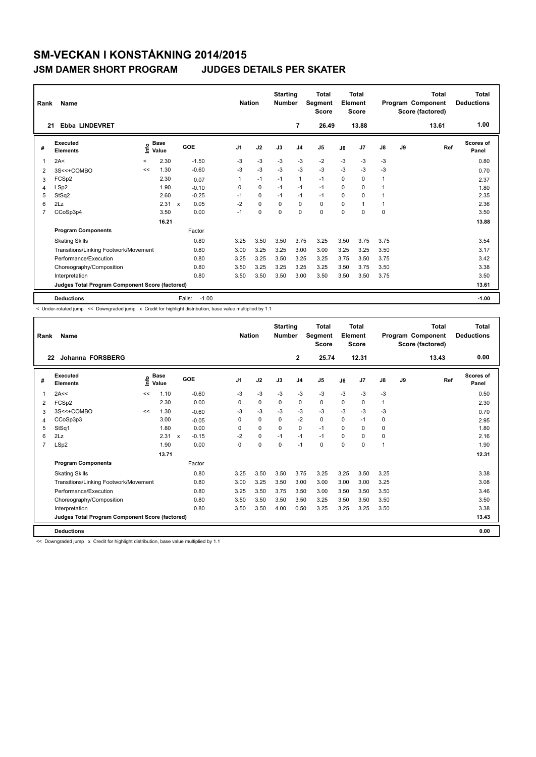### **JSM DAMER SHORT PROGRAM JUDGES DETAILS PER SKATER**

| Rank           | Name                                            |         |                      |              |         | <b>Nation</b>  |             | <b>Starting</b><br><b>Number</b> |                | <b>Total</b><br>Segment<br><b>Score</b> |          | <b>Total</b><br>Element<br><b>Score</b> |      |    | <b>Total</b><br>Program Component<br>Score (factored) | <b>Total</b><br><b>Deductions</b> |
|----------------|-------------------------------------------------|---------|----------------------|--------------|---------|----------------|-------------|----------------------------------|----------------|-----------------------------------------|----------|-----------------------------------------|------|----|-------------------------------------------------------|-----------------------------------|
| 21             | <b>Ebba LINDEVRET</b>                           |         |                      |              |         |                |             |                                  | $\overline{7}$ | 26.49                                   |          | 13.88                                   |      |    | 13.61                                                 | 1.00                              |
| #              | Executed<br><b>Elements</b>                     | ۴ů      | <b>Base</b><br>Value | GOE          |         | J <sub>1</sub> | J2          | J3                               | J <sub>4</sub> | J5                                      | J6       | J <sub>7</sub>                          | J8   | J9 | Ref                                                   | <b>Scores of</b><br>Panel         |
| 1              | 2A<                                             | $\prec$ | 2.30                 |              | $-1.50$ | $-3$           | $-3$        | $-3$                             | $-3$           | $-2$                                    | $-3$     | $-3$                                    | $-3$ |    |                                                       | 0.80                              |
| 2              | 3S<<+COMBO                                      | <<      | 1.30                 |              | $-0.60$ | -3             | $-3$        | $-3$                             | $-3$           | $-3$                                    | $-3$     | $-3$                                    | $-3$ |    |                                                       | 0.70                              |
| 3              | FCSp2                                           |         | 2.30                 |              | 0.07    | 1              | $-1$        | $-1$                             | $\mathbf{1}$   | $-1$                                    | $\Omega$ | $\Omega$                                | 1    |    |                                                       | 2.37                              |
| $\overline{4}$ | LSp2                                            |         | 1.90                 |              | $-0.10$ | $\Omega$       | $\mathbf 0$ | $-1$                             | $-1$           | $-1$                                    | $\Omega$ | $\Omega$                                | 1    |    |                                                       | 1.80                              |
| 5              | StSq2                                           |         | 2.60                 |              | $-0.25$ | $-1$           | $\mathbf 0$ | $-1$                             | $-1$           | $-1$                                    | 0        | $\Omega$                                |      |    |                                                       | 2.35                              |
| 6              | 2Lz                                             |         | 2.31                 | $\mathbf{x}$ | 0.05    | $-2$           | $\mathbf 0$ | $\Omega$                         | $\Omega$       | 0                                       | $\Omega$ | 1                                       | 1    |    |                                                       | 2.36                              |
| 7              | CCoSp3p4                                        |         | 3.50                 |              | 0.00    | $-1$           | 0           | $\Omega$                         | $\mathbf 0$    | 0                                       | 0        | $\Omega$                                | 0    |    |                                                       | 3.50                              |
|                |                                                 |         | 16.21                |              |         |                |             |                                  |                |                                         |          |                                         |      |    |                                                       | 13.88                             |
|                | <b>Program Components</b>                       |         |                      |              | Factor  |                |             |                                  |                |                                         |          |                                         |      |    |                                                       |                                   |
|                | <b>Skating Skills</b>                           |         |                      |              | 0.80    | 3.25           | 3.50        | 3.50                             | 3.75           | 3.25                                    | 3.50     | 3.75                                    | 3.75 |    |                                                       | 3.54                              |
|                | Transitions/Linking Footwork/Movement           |         |                      |              | 0.80    | 3.00           | 3.25        | 3.25                             | 3.00           | 3.00                                    | 3.25     | 3.25                                    | 3.50 |    |                                                       | 3.17                              |
|                | Performance/Execution                           |         |                      |              | 0.80    | 3.25           | 3.25        | 3.50                             | 3.25           | 3.25                                    | 3.75     | 3.50                                    | 3.75 |    |                                                       | 3.42                              |
|                | Choreography/Composition                        |         |                      |              | 0.80    | 3.50           | 3.25        | 3.25                             | 3.25           | 3.25                                    | 3.50     | 3.75                                    | 3.50 |    |                                                       | 3.38                              |
|                | Interpretation                                  |         |                      |              | 0.80    | 3.50           | 3.50        | 3.50                             | 3.00           | 3.50                                    | 3.50     | 3.50                                    | 3.75 |    |                                                       | 3.50                              |
|                | Judges Total Program Component Score (factored) |         |                      |              |         |                |             |                                  |                |                                         |          |                                         |      |    |                                                       | 13.61                             |
|                | <b>Deductions</b>                               |         |                      | Falls:       | $-1.00$ |                |             |                                  |                |                                         |          |                                         |      |    |                                                       | $-1.00$                           |

< Under-rotated jump << Downgraded jump x Credit for highlight distribution, base value multiplied by 1.1

| Rank | Name                                            |      |                      |              |         |                | <b>Nation</b> | <b>Starting</b><br><b>Number</b> |                | Total<br>Segment<br><b>Score</b> |          | <b>Total</b><br>Element<br><b>Score</b> |               |    | Total<br>Program Component<br>Score (factored) | <b>Total</b><br><b>Deductions</b> |
|------|-------------------------------------------------|------|----------------------|--------------|---------|----------------|---------------|----------------------------------|----------------|----------------------------------|----------|-----------------------------------------|---------------|----|------------------------------------------------|-----------------------------------|
| 22   | Johanna FORSBERG                                |      |                      |              |         |                |               |                                  | $\overline{2}$ | 25.74                            |          | 12.31                                   |               |    | 13.43                                          | 0.00                              |
| #    | Executed<br><b>Elements</b>                     | Life | <b>Base</b><br>Value |              | GOE     | J <sub>1</sub> | J2            | J3                               | J <sub>4</sub> | J5                               | J6       | J <sub>7</sub>                          | $\mathsf{J}8$ | J9 | Ref                                            | Scores of<br>Panel                |
|      | 2A<<                                            | <<   | 1.10                 |              | $-0.60$ | $-3$           | $-3$          | $-3$                             | $-3$           | $-3$                             | $-3$     | $-3$                                    | $-3$          |    |                                                | 0.50                              |
| 2    | FCSp2                                           |      | 2.30                 |              | 0.00    | 0              | $\mathbf 0$   | 0                                | $\mathbf 0$    | 0                                | 0        | 0                                       | 1             |    |                                                | 2.30                              |
| 3    | 3S<<+COMBO                                      | <<   | 1.30                 |              | $-0.60$ | -3             | $-3$          | -3                               | $-3$           | $-3$                             | $-3$     | $-3$                                    | $-3$          |    |                                                | 0.70                              |
| 4    | CCoSp3p3                                        |      | 3.00                 |              | $-0.05$ | $\Omega$       | $\Omega$      | $\Omega$                         | $-2$           | $\Omega$                         | $\Omega$ | $-1$                                    | 0             |    |                                                | 2.95                              |
| 5    | StSq1                                           |      | 1.80                 |              | 0.00    | 0              | 0             | $\Omega$                         | $\mathbf 0$    | $-1$                             | $\Omega$ | 0                                       | 0             |    |                                                | 1.80                              |
| 6    | 2Lz                                             |      | 2.31                 | $\mathsf{x}$ | $-0.15$ | $-2$           | $\mathbf 0$   | $-1$                             | $-1$           | $-1$                             | $\Omega$ | $\Omega$                                | 0             |    |                                                | 2.16                              |
| 7    | LSp2                                            |      | 1.90                 |              | 0.00    | $\Omega$       | 0             | $\Omega$                         | $-1$           | $\Omega$                         | 0        | 0                                       | 1             |    |                                                | 1.90                              |
|      |                                                 |      | 13.71                |              |         |                |               |                                  |                |                                  |          |                                         |               |    |                                                | 12.31                             |
|      | <b>Program Components</b>                       |      |                      |              | Factor  |                |               |                                  |                |                                  |          |                                         |               |    |                                                |                                   |
|      | <b>Skating Skills</b>                           |      |                      |              | 0.80    | 3.25           | 3.50          | 3.50                             | 3.75           | 3.25                             | 3.25     | 3.50                                    | 3.25          |    |                                                | 3.38                              |
|      | Transitions/Linking Footwork/Movement           |      |                      |              | 0.80    | 3.00           | 3.25          | 3.50                             | 3.00           | 3.00                             | 3.00     | 3.00                                    | 3.25          |    |                                                | 3.08                              |
|      | Performance/Execution                           |      |                      |              | 0.80    | 3.25           | 3.50          | 3.75                             | 3.50           | 3.00                             | 3.50     | 3.50                                    | 3.50          |    |                                                | 3.46                              |
|      | Choreography/Composition                        |      |                      |              | 0.80    | 3.50           | 3.50          | 3.50                             | 3.50           | 3.25                             | 3.50     | 3.50                                    | 3.50          |    |                                                | 3.50                              |
|      | Interpretation                                  |      |                      |              | 0.80    | 3.50           | 3.50          | 4.00                             | 0.50           | 3.25                             | 3.25     | 3.25                                    | 3.50          |    |                                                | 3.38                              |
|      | Judges Total Program Component Score (factored) |      |                      |              |         |                |               |                                  |                |                                  |          |                                         |               |    |                                                | 13.43                             |
|      | <b>Deductions</b>                               |      |                      |              |         |                |               |                                  |                |                                  |          |                                         |               |    |                                                | 0.00                              |

<< Downgraded jump x Credit for highlight distribution, base value multiplied by 1.1